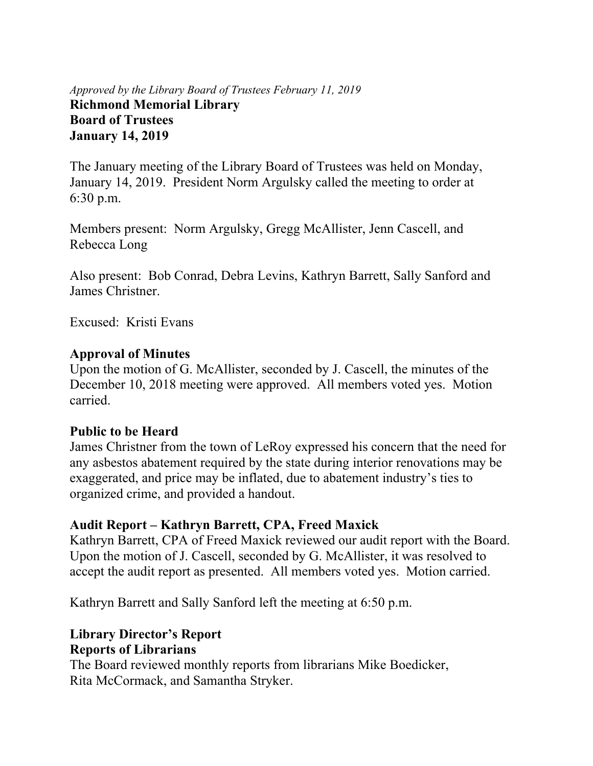#### *Approved by the Library Board of Trustees February 11, 2019* **Richmond Memorial Library Board of Trustees January 14, 2019**

The January meeting of the Library Board of Trustees was held on Monday, January 14, 2019. President Norm Argulsky called the meeting to order at 6:30 p.m.

Members present: Norm Argulsky, Gregg McAllister, Jenn Cascell, and Rebecca Long

Also present: Bob Conrad, Debra Levins, Kathryn Barrett, Sally Sanford and James Christner.

Excused: Kristi Evans

#### **Approval of Minutes**

Upon the motion of G. McAllister, seconded by J. Cascell, the minutes of the December 10, 2018 meeting were approved. All members voted yes. Motion carried.

#### **Public to be Heard**

James Christner from the town of LeRoy expressed his concern that the need for any asbestos abatement required by the state during interior renovations may be exaggerated, and price may be inflated, due to abatement industry's ties to organized crime, and provided a handout.

#### **Audit Report – Kathryn Barrett, CPA, Freed Maxick**

Kathryn Barrett, CPA of Freed Maxick reviewed our audit report with the Board. Upon the motion of J. Cascell, seconded by G. McAllister, it was resolved to accept the audit report as presented. All members voted yes. Motion carried.

Kathryn Barrett and Sally Sanford left the meeting at 6:50 p.m.

# **Library Director's Report**

#### **Reports of Librarians**

The Board reviewed monthly reports from librarians Mike Boedicker, Rita McCormack, and Samantha Stryker.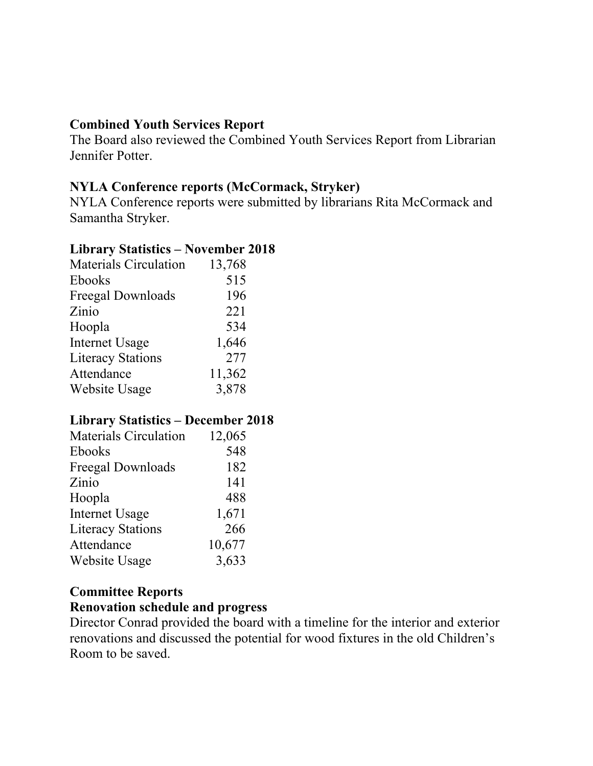#### **Combined Youth Services Report**

The Board also reviewed the Combined Youth Services Report from Librarian Jennifer Potter.

# **NYLA Conference reports (McCormack, Stryker)**

NYLA Conference reports were submitted by librarians Rita McCormack and Samantha Stryker.

#### **Library Statistics – November 2018**

| <b>Materials Circulation</b> | 13,768 |
|------------------------------|--------|
| Ebooks                       | 515    |
| Freegal Downloads            | 196    |
| Zinio                        | 221    |
| Hoopla                       | 534    |
| <b>Internet Usage</b>        | 1,646  |
| <b>Literacy Stations</b>     | 277    |
| Attendance                   | 11,362 |
| Website Usage                | 3,878  |

#### **Library Statistics – December 2018**

| <b>Materials Circulation</b> | 12,065 |
|------------------------------|--------|
| Ebooks                       | 548    |
| Freegal Downloads            | 182    |
| Zinio                        | 141    |
| Hoopla                       | 488    |
| <b>Internet Usage</b>        | 1,671  |
| <b>Literacy Stations</b>     | 266    |
| Attendance                   | 10,677 |
| Website Usage                | 3,633  |
|                              |        |

# **Committee Reports**

#### **Renovation schedule and progress**

Director Conrad provided the board with a timeline for the interior and exterior renovations and discussed the potential for wood fixtures in the old Children's Room to be saved.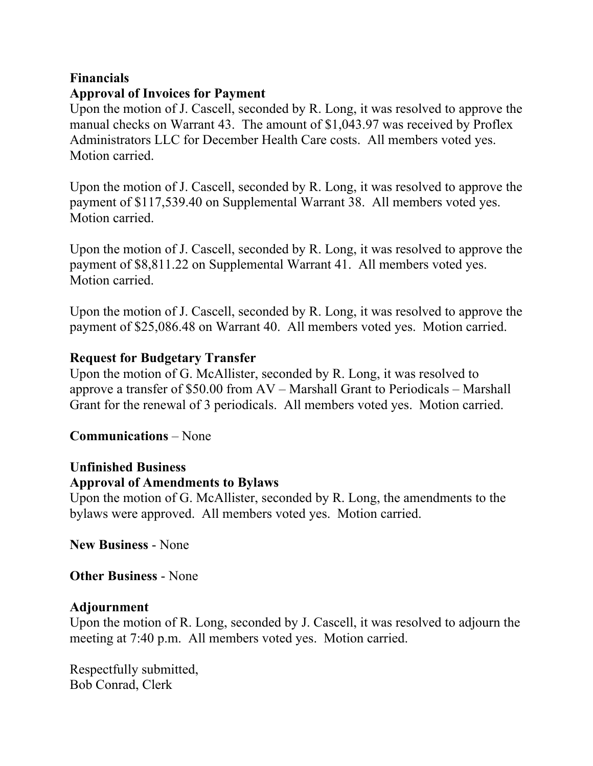#### **Financials Approval of Invoices for Payment**

Upon the motion of J. Cascell, seconded by R. Long, it was resolved to approve the manual checks on Warrant 43. The amount of \$1,043.97 was received by Proflex Administrators LLC for December Health Care costs. All members voted yes. Motion carried.

Upon the motion of J. Cascell, seconded by R. Long, it was resolved to approve the payment of \$117,539.40 on Supplemental Warrant 38. All members voted yes. Motion carried.

Upon the motion of J. Cascell, seconded by R. Long, it was resolved to approve the payment of \$8,811.22 on Supplemental Warrant 41. All members voted yes. Motion carried.

Upon the motion of J. Cascell, seconded by R. Long, it was resolved to approve the payment of \$25,086.48 on Warrant 40. All members voted yes. Motion carried.

# **Request for Budgetary Transfer**

Upon the motion of G. McAllister, seconded by R. Long, it was resolved to approve a transfer of \$50.00 from AV – Marshall Grant to Periodicals – Marshall Grant for the renewal of 3 periodicals. All members voted yes. Motion carried.

#### **Communications** – None

# **Unfinished Business**

#### **Approval of Amendments to Bylaws**

Upon the motion of G. McAllister, seconded by R. Long, the amendments to the bylaws were approved. All members voted yes. Motion carried.

**New Business** - None

**Other Business** - None

# **Adjournment**

Upon the motion of R. Long, seconded by J. Cascell, it was resolved to adjourn the meeting at 7:40 p.m. All members voted yes. Motion carried.

Respectfully submitted, Bob Conrad, Clerk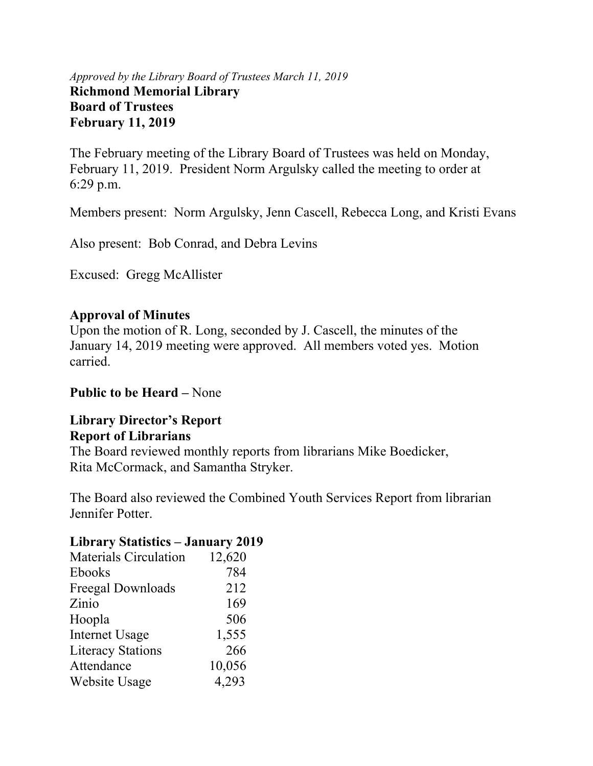#### *Approved by the Library Board of Trustees March 11, 2019* **Richmond Memorial Library Board of Trustees February 11, 2019**

The February meeting of the Library Board of Trustees was held on Monday, February 11, 2019. President Norm Argulsky called the meeting to order at 6:29 p.m.

Members present: Norm Argulsky, Jenn Cascell, Rebecca Long, and Kristi Evans

Also present: Bob Conrad, and Debra Levins

Excused: Gregg McAllister

# **Approval of Minutes**

Upon the motion of R. Long, seconded by J. Cascell, the minutes of the January 14, 2019 meeting were approved. All members voted yes. Motion carried.

#### **Public to be Heard –** None

#### **Library Director's Report Report of Librarians**

The Board reviewed monthly reports from librarians Mike Boedicker, Rita McCormack, and Samantha Stryker.

The Board also reviewed the Combined Youth Services Report from librarian Jennifer Potter.

#### **Library Statistics – January 2019**

| <b>Materials Circulation</b> | 12,620 |
|------------------------------|--------|
| Ebooks                       | 784    |
| Freegal Downloads            | 212    |
| Zinio                        | 169    |
| Hoopla                       | 506    |
| <b>Internet Usage</b>        | 1,555  |
| <b>Literacy Stations</b>     | 266    |
| Attendance                   | 10,056 |
| Website Usage                | 4,293  |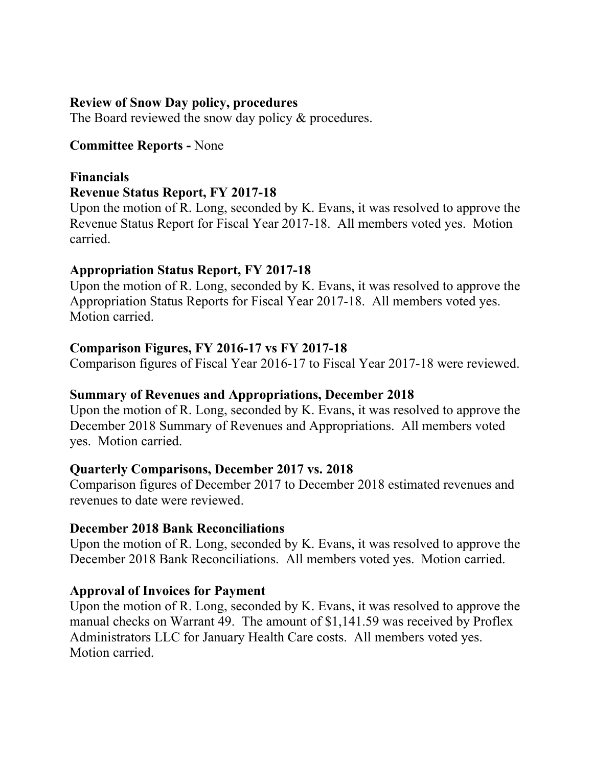#### **Review of Snow Day policy, procedures**

The Board reviewed the snow day policy & procedures.

#### **Committee Reports -** None

#### **Financials Revenue Status Report, FY 2017-18**

Upon the motion of R. Long, seconded by K. Evans, it was resolved to approve the Revenue Status Report for Fiscal Year 2017-18. All members voted yes. Motion carried.

#### **Appropriation Status Report, FY 2017-18**

Upon the motion of R. Long, seconded by K. Evans, it was resolved to approve the Appropriation Status Reports for Fiscal Year 2017-18. All members voted yes. Motion carried.

#### **Comparison Figures, FY 2016-17 vs FY 2017-18**

Comparison figures of Fiscal Year 2016-17 to Fiscal Year 2017-18 were reviewed.

#### **Summary of Revenues and Appropriations, December 2018**

Upon the motion of R. Long, seconded by K. Evans, it was resolved to approve the December 2018 Summary of Revenues and Appropriations. All members voted yes. Motion carried.

#### **Quarterly Comparisons, December 2017 vs. 2018**

Comparison figures of December 2017 to December 2018 estimated revenues and revenues to date were reviewed.

#### **December 2018 Bank Reconciliations**

Upon the motion of R. Long, seconded by K. Evans, it was resolved to approve the December 2018 Bank Reconciliations. All members voted yes. Motion carried.

#### **Approval of Invoices for Payment**

Upon the motion of R. Long, seconded by K. Evans, it was resolved to approve the manual checks on Warrant 49. The amount of \$1,141.59 was received by Proflex Administrators LLC for January Health Care costs. All members voted yes. Motion carried.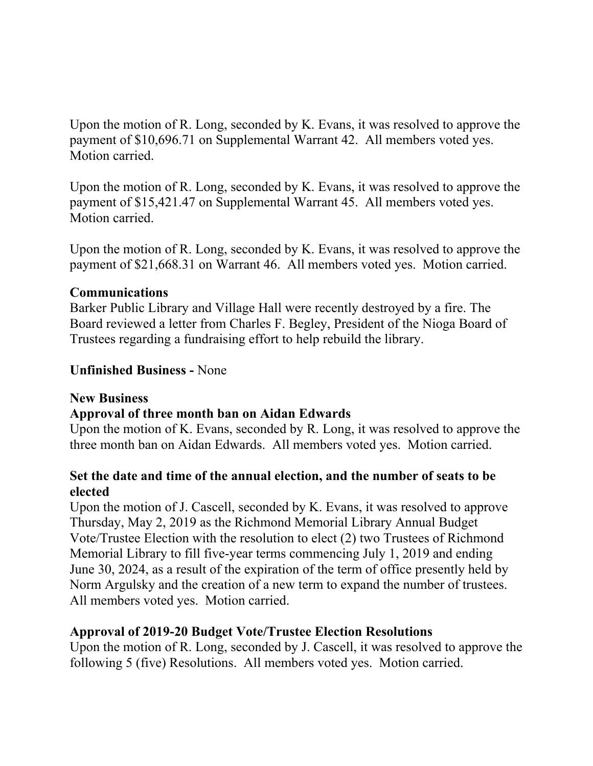Upon the motion of R. Long, seconded by K. Evans, it was resolved to approve the payment of \$10,696.71 on Supplemental Warrant 42. All members voted yes. Motion carried.

Upon the motion of R. Long, seconded by K. Evans, it was resolved to approve the payment of \$15,421.47 on Supplemental Warrant 45. All members voted yes. Motion carried.

Upon the motion of R. Long, seconded by K. Evans, it was resolved to approve the payment of \$21,668.31 on Warrant 46. All members voted yes. Motion carried.

#### **Communications**

Barker Public Library and Village Hall were recently destroyed by a fire. The Board reviewed a letter from Charles F. Begley, President of the Nioga Board of Trustees regarding a fundraising effort to help rebuild the library.

#### **Unfinished Business -** None

#### **New Business**

#### **Approval of three month ban on Aidan Edwards**

Upon the motion of K. Evans, seconded by R. Long, it was resolved to approve the three month ban on Aidan Edwards. All members voted yes. Motion carried.

# **Set the date and time of the annual election, and the number of seats to be elected**

Upon the motion of J. Cascell, seconded by K. Evans, it was resolved to approve Thursday, May 2, 2019 as the Richmond Memorial Library Annual Budget Vote/Trustee Election with the resolution to elect (2) two Trustees of Richmond Memorial Library to fill five-year terms commencing July 1, 2019 and ending June 30, 2024, as a result of the expiration of the term of office presently held by Norm Argulsky and the creation of a new term to expand the number of trustees. All members voted yes. Motion carried.

#### **Approval of 2019-20 Budget Vote/Trustee Election Resolutions**

Upon the motion of R. Long, seconded by J. Cascell, it was resolved to approve the following 5 (five) Resolutions. All members voted yes. Motion carried.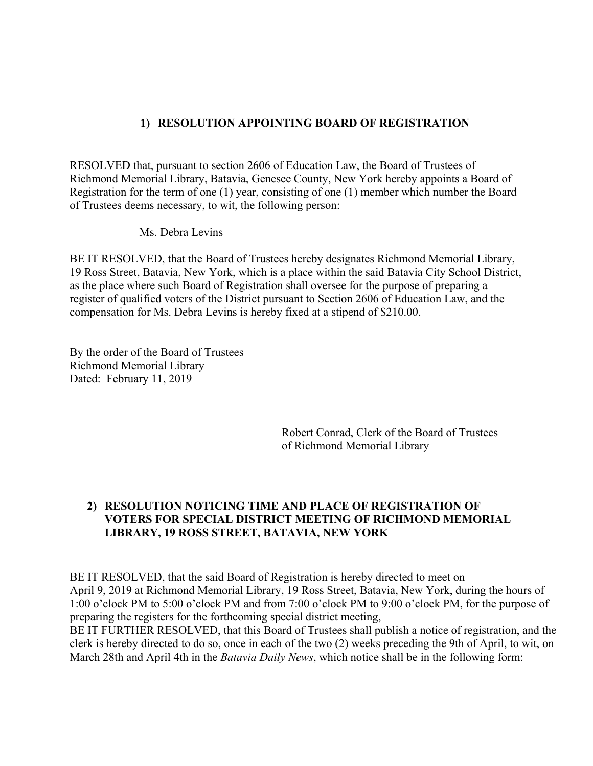#### **1) RESOLUTION APPOINTING BOARD OF REGISTRATION**

RESOLVED that, pursuant to section 2606 of Education Law, the Board of Trustees of Richmond Memorial Library, Batavia, Genesee County, New York hereby appoints a Board of Registration for the term of one (1) year, consisting of one (1) member which number the Board of Trustees deems necessary, to wit, the following person:

Ms. Debra Levins

BE IT RESOLVED, that the Board of Trustees hereby designates Richmond Memorial Library, 19 Ross Street, Batavia, New York, which is a place within the said Batavia City School District, as the place where such Board of Registration shall oversee for the purpose of preparing a register of qualified voters of the District pursuant to Section 2606 of Education Law, and the compensation for Ms. Debra Levins is hereby fixed at a stipend of \$210.00.

By the order of the Board of Trustees Richmond Memorial Library Dated: February 11, 2019

> Robert Conrad, Clerk of the Board of Trustees of Richmond Memorial Library

#### **2) RESOLUTION NOTICING TIME AND PLACE OF REGISTRATION OF VOTERS FOR SPECIAL DISTRICT MEETING OF RICHMOND MEMORIAL LIBRARY, 19 ROSS STREET, BATAVIA, NEW YORK**

BE IT RESOLVED, that the said Board of Registration is hereby directed to meet on April 9, 2019 at Richmond Memorial Library, 19 Ross Street, Batavia, New York, during the hours of 1:00 o'clock PM to 5:00 o'clock PM and from 7:00 o'clock PM to 9:00 o'clock PM, for the purpose of preparing the registers for the forthcoming special district meeting,

BE IT FURTHER RESOLVED, that this Board of Trustees shall publish a notice of registration, and the clerk is hereby directed to do so, once in each of the two (2) weeks preceding the 9th of April, to wit, on March 28th and April 4th in the *Batavia Daily News*, which notice shall be in the following form: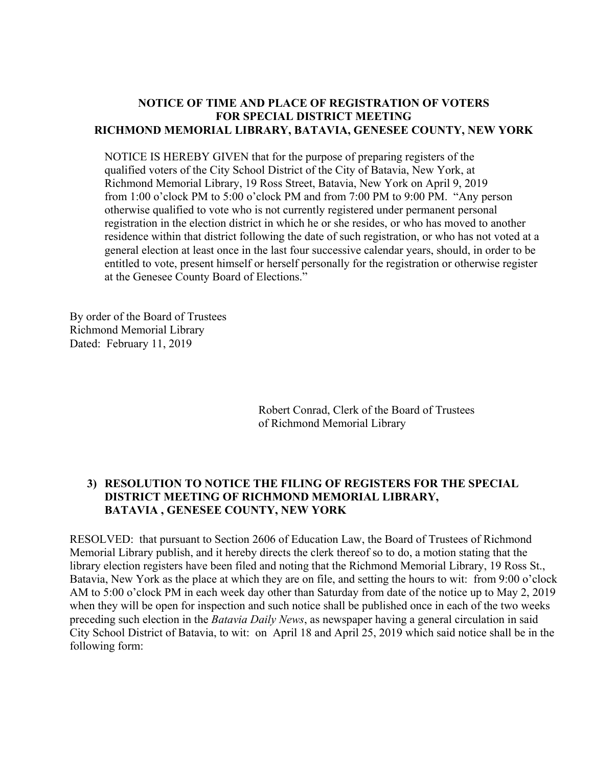#### **NOTICE OF TIME AND PLACE OF REGISTRATION OF VOTERS FOR SPECIAL DISTRICT MEETING RICHMOND MEMORIAL LIBRARY, BATAVIA, GENESEE COUNTY, NEW YORK**

NOTICE IS HEREBY GIVEN that for the purpose of preparing registers of the qualified voters of the City School District of the City of Batavia, New York, at Richmond Memorial Library, 19 Ross Street, Batavia, New York on April 9, 2019 from 1:00 o'clock PM to 5:00 o'clock PM and from 7:00 PM to 9:00 PM. "Any person otherwise qualified to vote who is not currently registered under permanent personal registration in the election district in which he or she resides, or who has moved to another residence within that district following the date of such registration, or who has not voted at a general election at least once in the last four successive calendar years, should, in order to be entitled to vote, present himself or herself personally for the registration or otherwise register at the Genesee County Board of Elections."

By order of the Board of Trustees Richmond Memorial Library Dated: February 11, 2019

> Robert Conrad, Clerk of the Board of Trustees of Richmond Memorial Library

#### **3) RESOLUTION TO NOTICE THE FILING OF REGISTERS FOR THE SPECIAL DISTRICT MEETING OF RICHMOND MEMORIAL LIBRARY, BATAVIA , GENESEE COUNTY, NEW YORK**

RESOLVED: that pursuant to Section 2606 of Education Law, the Board of Trustees of Richmond Memorial Library publish, and it hereby directs the clerk thereof so to do, a motion stating that the library election registers have been filed and noting that the Richmond Memorial Library, 19 Ross St., Batavia, New York as the place at which they are on file, and setting the hours to wit: from 9:00 o'clock AM to 5:00 o'clock PM in each week day other than Saturday from date of the notice up to May 2, 2019 when they will be open for inspection and such notice shall be published once in each of the two weeks preceding such election in the *Batavia Daily News*, as newspaper having a general circulation in said City School District of Batavia, to wit: on April 18 and April 25, 2019 which said notice shall be in the following form: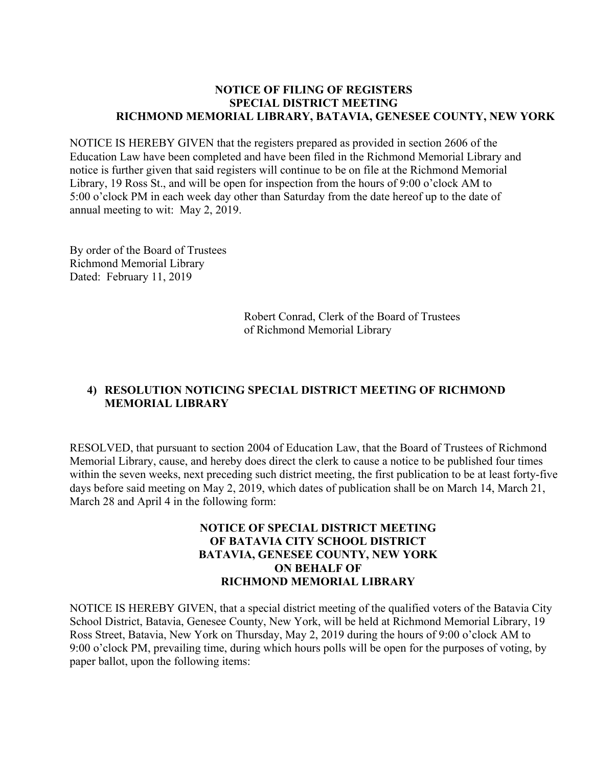#### **NOTICE OF FILING OF REGISTERS SPECIAL DISTRICT MEETING RICHMOND MEMORIAL LIBRARY, BATAVIA, GENESEE COUNTY, NEW YORK**

NOTICE IS HEREBY GIVEN that the registers prepared as provided in section 2606 of the Education Law have been completed and have been filed in the Richmond Memorial Library and notice is further given that said registers will continue to be on file at the Richmond Memorial Library, 19 Ross St., and will be open for inspection from the hours of 9:00 o'clock AM to 5:00 o'clock PM in each week day other than Saturday from the date hereof up to the date of annual meeting to wit: May 2, 2019.

By order of the Board of Trustees Richmond Memorial Library Dated: February 11, 2019

> Robert Conrad, Clerk of the Board of Trustees of Richmond Memorial Library

#### **4) RESOLUTION NOTICING SPECIAL DISTRICT MEETING OF RICHMOND MEMORIAL LIBRARY**

RESOLVED, that pursuant to section 2004 of Education Law, that the Board of Trustees of Richmond Memorial Library, cause, and hereby does direct the clerk to cause a notice to be published four times within the seven weeks, next preceding such district meeting, the first publication to be at least forty-five days before said meeting on May 2, 2019, which dates of publication shall be on March 14, March 21, March 28 and April 4 in the following form:

#### **NOTICE OF SPECIAL DISTRICT MEETING OF BATAVIA CITY SCHOOL DISTRICT BATAVIA, GENESEE COUNTY, NEW YORK ON BEHALF OF RICHMOND MEMORIAL LIBRARY**

NOTICE IS HEREBY GIVEN, that a special district meeting of the qualified voters of the Batavia City School District, Batavia, Genesee County, New York, will be held at Richmond Memorial Library, 19 Ross Street, Batavia, New York on Thursday, May 2, 2019 during the hours of 9:00 o'clock AM to 9:00 o'clock PM, prevailing time, during which hours polls will be open for the purposes of voting, by paper ballot, upon the following items: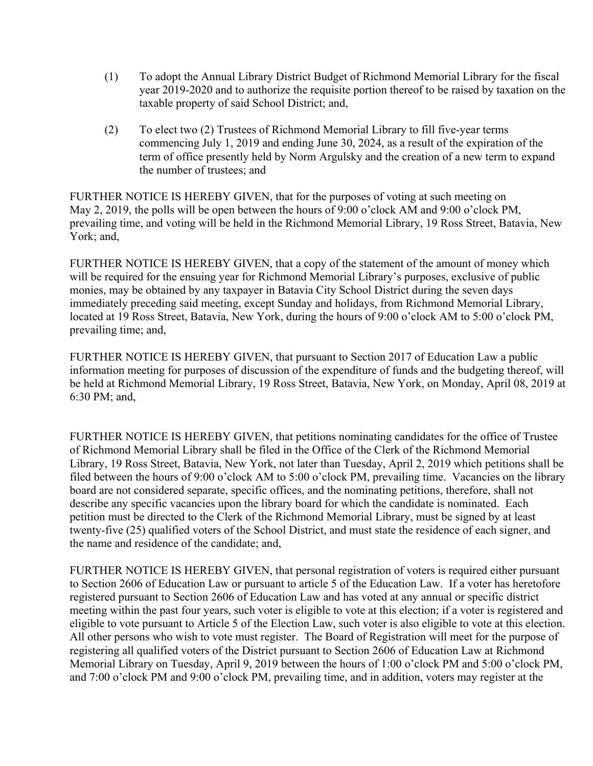- (1) To adopt the Annual Library District Budget of Richmond Memorial Library for the fiscal year 2019-2020 and to authorize the requisite portion thereof to be raised by taxation on the taxable property of said School District; and,
- (2) To elect two (2) Trustees of Richmond Memorial Library to fill five-year terms commencing July 1, 2019 and ending June 30, 2024, as a result of the expiration of the term of office presently held by Norm Argulsky and the creation of a new term to expand the number of trustees; and

FURTHER NOTICE IS HEREBY GIVEN, that for the purposes of voting at such meeting on May 2, 2019, the polls will be open between the hours of 9:00 o'clock AM and 9:00 o'clock PM, prevailing time, and voting will be held in the Richmond Memorial Library, 19 Ross Street, Batavia, New York; and,

FURTHER NOTICE IS HEREBY GIVEN, that a copy of the statement of the amount of money which will be required for the ensuing year for Richmond Memorial Library's purposes, exclusive of public monies, may be obtained by any taxpayer in Batavia City School District during the seven days immediately preceding said meeting, except Sunday and holidays, from Richmond Memorial Library, located at 19 Ross Street, Batavia, New York, during the hours of 9:00 o'clock AM to 5:00 o'clock PM, prevailing time; and,

FURTHER NOTICE IS HEREBY GIVEN, that pursuant to Section 2017 of Education Law a public information meeting for purposes of discussion of the expenditure of funds and the budgeting thereof, will be held at Richmond Memorial Library, 19 Ross Street, Batavia, New York, on Monday, April 08, 2019 at 6:30 PM; and,

FURTHER NOTICE IS HEREBY GIVEN, that petitions nominating candidates for the office of Trustee of Richmond Memorial Library shall be filed in the Office of the Clerk of the Richmond Memorial Library, 19 Ross Street, Batavia, New York, not later than Tuesday, April 2, 2019 which petitions shall be filed between the hours of 9:00 o'clock AM to 5:00 o'clock PM, prevailing time. Vacancies on the library board are not considered separate, specific offices, and the nominating petitions, therefore, shall not describe any specific vacancies upon the library board for which the candidate is nominated. Each petition must be directed to the Clerk of the Richmond Memorial Library, must be signed by at least twenty-five (25) qualified voters of the School District, and must state the residence of each signer, and the name and residence of the candidate; and,

FURTHER NOTICE IS HEREBY GIVEN, that personal registration of voters is required either pursuant to Section 2606 of Education Law or pursuant to article 5 of the Education Law. If a voter has heretofore registered pursuant to Section 2606 of Education Law and has voted at any annual or specific district meeting within the past four years, such voter is eligible to vote at this election; if a voter is registered and eligible to vote pursuant to Article 5 of the Election Law, such voter is also eligible to vote at this election. All other persons who wish to vote must register. The Board of Registration will meet for the purpose of registering all qualified voters of the District pursuant to Section 2606 of Education Law at Richmond Memorial Library on Tuesday, April 9, 2019 between the hours of 1:00 o'clock PM and 5:00 o'clock PM, and 7:00 o'clock PM and 9:00 o'clock PM, prevailing time, and in addition, voters may register at the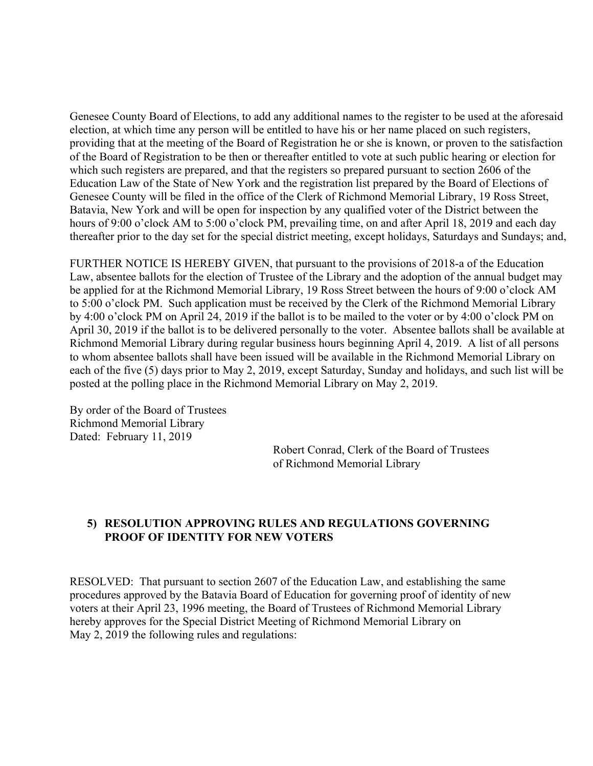Genesee County Board of Elections, to add any additional names to the register to be used at the aforesaid election, at which time any person will be entitled to have his or her name placed on such registers, providing that at the meeting of the Board of Registration he or she is known, or proven to the satisfaction of the Board of Registration to be then or thereafter entitled to vote at such public hearing or election for which such registers are prepared, and that the registers so prepared pursuant to section 2606 of the Education Law of the State of New York and the registration list prepared by the Board of Elections of Genesee County will be filed in the office of the Clerk of Richmond Memorial Library, 19 Ross Street, Batavia, New York and will be open for inspection by any qualified voter of the District between the hours of 9:00 o'clock AM to 5:00 o'clock PM, prevailing time, on and after April 18, 2019 and each day thereafter prior to the day set for the special district meeting, except holidays, Saturdays and Sundays; and,

FURTHER NOTICE IS HEREBY GIVEN, that pursuant to the provisions of 2018-a of the Education Law, absentee ballots for the election of Trustee of the Library and the adoption of the annual budget may be applied for at the Richmond Memorial Library, 19 Ross Street between the hours of 9:00 o'clock AM to 5:00 o'clock PM. Such application must be received by the Clerk of the Richmond Memorial Library by 4:00 o'clock PM on April 24, 2019 if the ballot is to be mailed to the voter or by 4:00 o'clock PM on April 30, 2019 if the ballot is to be delivered personally to the voter. Absentee ballots shall be available at Richmond Memorial Library during regular business hours beginning April 4, 2019. A list of all persons to whom absentee ballots shall have been issued will be available in the Richmond Memorial Library on each of the five (5) days prior to May 2, 2019, except Saturday, Sunday and holidays, and such list will be posted at the polling place in the Richmond Memorial Library on May 2, 2019.

By order of the Board of Trustees Richmond Memorial Library Dated: February 11, 2019

> Robert Conrad, Clerk of the Board of Trustees of Richmond Memorial Library

#### **5) RESOLUTION APPROVING RULES AND REGULATIONS GOVERNING PROOF OF IDENTITY FOR NEW VOTERS**

RESOLVED: That pursuant to section 2607 of the Education Law, and establishing the same procedures approved by the Batavia Board of Education for governing proof of identity of new voters at their April 23, 1996 meeting, the Board of Trustees of Richmond Memorial Library hereby approves for the Special District Meeting of Richmond Memorial Library on May 2, 2019 the following rules and regulations: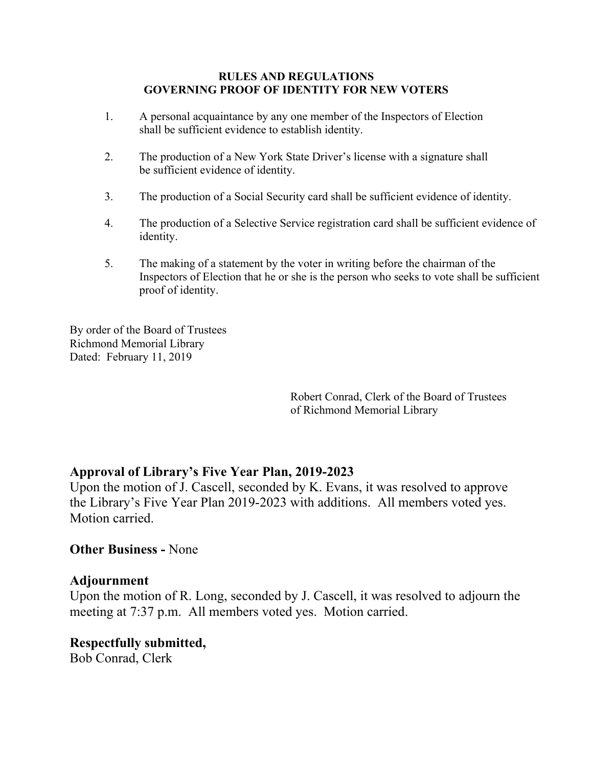#### **RULES AND REGULATIONS GOVERNING PROOF OF IDENTITY FOR NEW VOTERS**

- 1. A personal acquaintance by any one member of the Inspectors of Election shall be sufficient evidence to establish identity.
- 2. The production of a New York State Driver's license with a signature shall be sufficient evidence of identity.
- 3. The production of a Social Security card shall be sufficient evidence of identity.
- 4. The production of a Selective Service registration card shall be sufficient evidence of identity.
- 5. The making of a statement by the voter in writing before the chairman of the Inspectors of Election that he or she is the person who seeks to vote shall be sufficient proof of identity.

By order of the Board of Trustees Richmond Memorial Library Dated: February 11, 2019

> Robert Conrad, Clerk of the Board of Trustees of Richmond Memorial Library

#### **Approval of Library's Five Year Plan, 2019-2023**

Upon the motion of J. Cascell, seconded by K. Evans, it was resolved to approve the Library's Five Year Plan 2019-2023 with additions. All members voted yes. Motion carried.

#### **Other Business -** None

#### **Adjournment**

Upon the motion of R. Long, seconded by J. Cascell, it was resolved to adjourn the meeting at 7:37 p.m. All members voted yes. Motion carried.

#### **Respectfully submitted,**  Bob Conrad, Clerk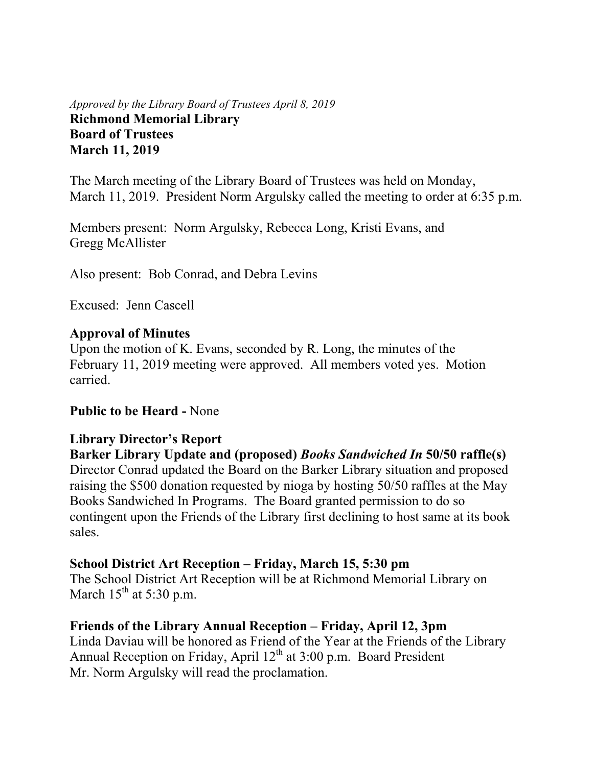#### *Approved by the Library Board of Trustees April 8, 2019* **Richmond Memorial Library Board of Trustees March 11, 2019**

The March meeting of the Library Board of Trustees was held on Monday, March 11, 2019. President Norm Argulsky called the meeting to order at 6:35 p.m.

Members present: Norm Argulsky, Rebecca Long, Kristi Evans, and Gregg McAllister

Also present: Bob Conrad, and Debra Levins

Excused: Jenn Cascell

# **Approval of Minutes**

Upon the motion of K. Evans, seconded by R. Long, the minutes of the February 11, 2019 meeting were approved. All members voted yes. Motion carried.

# **Public to be Heard -** None

# **Library Director's Report**

**Barker Library Update and (proposed)** *Books Sandwiched In* **50/50 raffle(s)**  Director Conrad updated the Board on the Barker Library situation and proposed raising the \$500 donation requested by nioga by hosting 50/50 raffles at the May Books Sandwiched In Programs. The Board granted permission to do so contingent upon the Friends of the Library first declining to host same at its book sales.

#### **School District Art Reception – Friday, March 15, 5:30 pm**

The School District Art Reception will be at Richmond Memorial Library on March  $15<sup>th</sup>$  at 5:30 p.m.

# **Friends of the Library Annual Reception – Friday, April 12, 3pm**

Linda Daviau will be honored as Friend of the Year at the Friends of the Library Annual Reception on Friday, April  $12^{th}$  at 3:00 p.m. Board President Mr. Norm Argulsky will read the proclamation.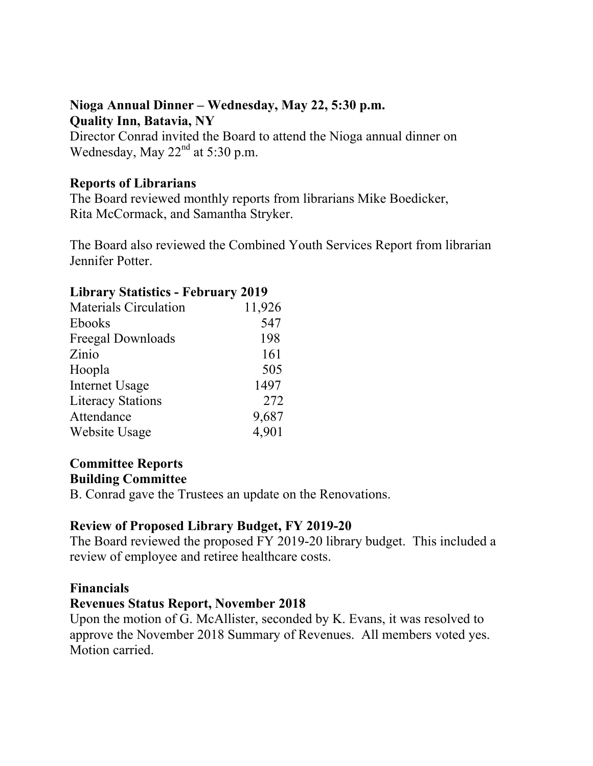# **Nioga Annual Dinner – Wednesday, May 22, 5:30 p.m. Quality Inn, Batavia, NY**

Director Conrad invited the Board to attend the Nioga annual dinner on Wednesday, May  $22<sup>nd</sup>$  at 5:30 p.m.

# **Reports of Librarians**

The Board reviewed monthly reports from librarians Mike Boedicker, Rita McCormack, and Samantha Stryker.

The Board also reviewed the Combined Youth Services Report from librarian Jennifer Potter.

#### **Library Statistics - February 2019**

| <b>Materials Circulation</b> | 11,926 |
|------------------------------|--------|
| <b>Ebooks</b>                | 547    |
| Freegal Downloads            | 198    |
| Zinio                        | 161    |
| Hoopla                       | 505    |
| <b>Internet Usage</b>        | 1497   |
| <b>Literacy Stations</b>     | 272    |
| Attendance                   | 9,687  |
| Website Usage                | 4,901  |

# **Committee Reports Building Committee**

B. Conrad gave the Trustees an update on the Renovations.

# **Review of Proposed Library Budget, FY 2019-20**

The Board reviewed the proposed FY 2019-20 library budget. This included a review of employee and retiree healthcare costs.

#### **Financials**

#### **Revenues Status Report, November 2018**

Upon the motion of G. McAllister, seconded by K. Evans, it was resolved to approve the November 2018 Summary of Revenues. All members voted yes. Motion carried.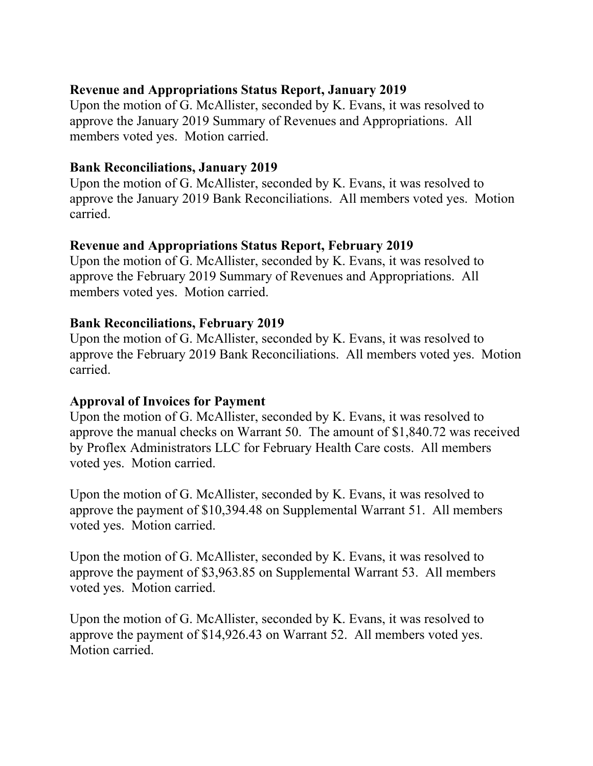# **Revenue and Appropriations Status Report, January 2019**

Upon the motion of G. McAllister, seconded by K. Evans, it was resolved to approve the January 2019 Summary of Revenues and Appropriations. All members voted yes. Motion carried.

### **Bank Reconciliations, January 2019**

Upon the motion of G. McAllister, seconded by K. Evans, it was resolved to approve the January 2019 Bank Reconciliations. All members voted yes. Motion carried.

# **Revenue and Appropriations Status Report, February 2019**

Upon the motion of G. McAllister, seconded by K. Evans, it was resolved to approve the February 2019 Summary of Revenues and Appropriations. All members voted yes. Motion carried.

# **Bank Reconciliations, February 2019**

Upon the motion of G. McAllister, seconded by K. Evans, it was resolved to approve the February 2019 Bank Reconciliations. All members voted yes. Motion carried.

#### **Approval of Invoices for Payment**

Upon the motion of G. McAllister, seconded by K. Evans, it was resolved to approve the manual checks on Warrant 50. The amount of \$1,840.72 was received by Proflex Administrators LLC for February Health Care costs. All members voted yes. Motion carried.

Upon the motion of G. McAllister, seconded by K. Evans, it was resolved to approve the payment of \$10,394.48 on Supplemental Warrant 51. All members voted yes. Motion carried.

Upon the motion of G. McAllister, seconded by K. Evans, it was resolved to approve the payment of \$3,963.85 on Supplemental Warrant 53. All members voted yes. Motion carried.

Upon the motion of G. McAllister, seconded by K. Evans, it was resolved to approve the payment of \$14,926.43 on Warrant 52. All members voted yes. Motion carried.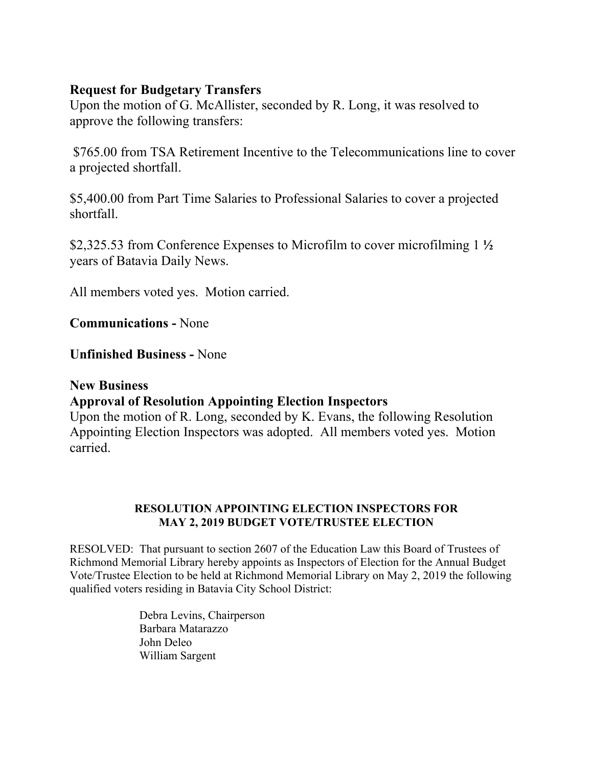#### **Request for Budgetary Transfers**

Upon the motion of G. McAllister, seconded by R. Long, it was resolved to approve the following transfers:

 \$765.00 from TSA Retirement Incentive to the Telecommunications line to cover a projected shortfall.

\$5,400.00 from Part Time Salaries to Professional Salaries to cover a projected shortfall.

\$2,325.53 from Conference Expenses to Microfilm to cover microfilming 1 **½** years of Batavia Daily News.

All members voted yes. Motion carried.

**Communications -** None

**Unfinished Business -** None

#### **New Business**

# **Approval of Resolution Appointing Election Inspectors**

Upon the motion of R. Long, seconded by K. Evans, the following Resolution Appointing Election Inspectors was adopted. All members voted yes. Motion carried.

#### **RESOLUTION APPOINTING ELECTION INSPECTORS FOR MAY 2, 2019 BUDGET VOTE/TRUSTEE ELECTION**

RESOLVED: That pursuant to section 2607 of the Education Law this Board of Trustees of Richmond Memorial Library hereby appoints as Inspectors of Election for the Annual Budget Vote/Trustee Election to be held at Richmond Memorial Library on May 2, 2019 the following qualified voters residing in Batavia City School District:

> Debra Levins, Chairperson Barbara Matarazzo John Deleo William Sargent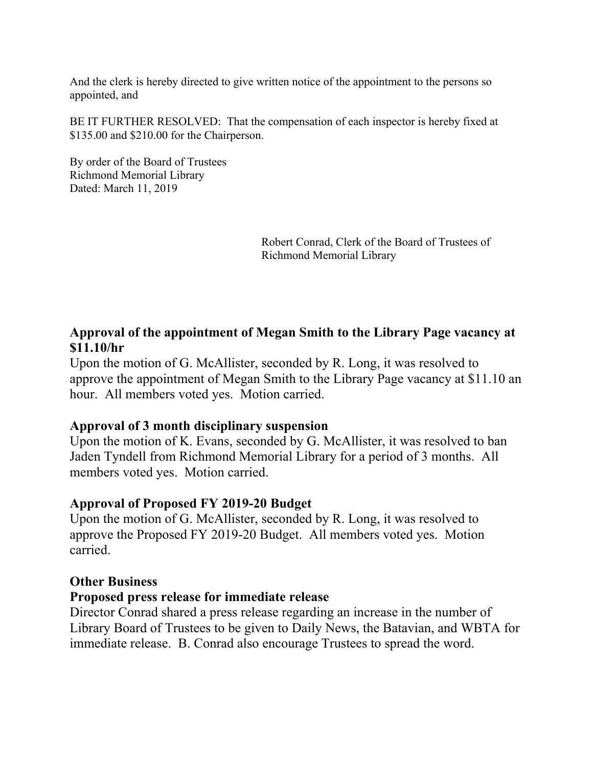And the clerk is hereby directed to give written notice of the appointment to the persons so appointed, and

BE IT FURTHER RESOLVED: That the compensation of each inspector is hereby fixed at \$135.00 and \$210.00 for the Chairperson.

By order of the Board of Trustees Richmond Memorial Library Dated: March 11, 2019

> Robert Conrad, Clerk of the Board of Trustees of Richmond Memorial Library

# **Approval of the appointment of Megan Smith to the Library Page vacancy at \$11.10/hr**

Upon the motion of G. McAllister, seconded by R. Long, it was resolved to approve the appointment of Megan Smith to the Library Page vacancy at \$11.10 an hour. All members voted yes. Motion carried.

#### **Approval of 3 month disciplinary suspension**

Upon the motion of K. Evans, seconded by G. McAllister, it was resolved to ban Jaden Tyndell from Richmond Memorial Library for a period of 3 months. All members voted yes. Motion carried.

#### **Approval of Proposed FY 2019-20 Budget**

Upon the motion of G. McAllister, seconded by R. Long, it was resolved to approve the Proposed FY 2019-20 Budget. All members voted yes. Motion carried.

#### **Other Business**

#### **Proposed press release for immediate release**

Director Conrad shared a press release regarding an increase in the number of Library Board of Trustees to be given to Daily News, the Batavian, and WBTA for immediate release. B. Conrad also encourage Trustees to spread the word.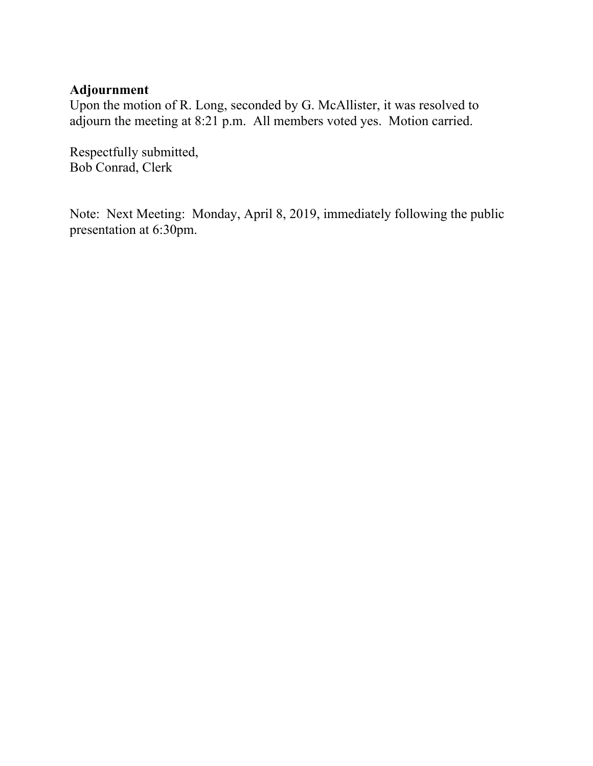# **Adjournment**

Upon the motion of R. Long, seconded by G. McAllister, it was resolved to adjourn the meeting at 8:21 p.m. All members voted yes. Motion carried.

Respectfully submitted, Bob Conrad, Clerk

Note: Next Meeting: Monday, April 8, 2019, immediately following the public presentation at 6:30pm.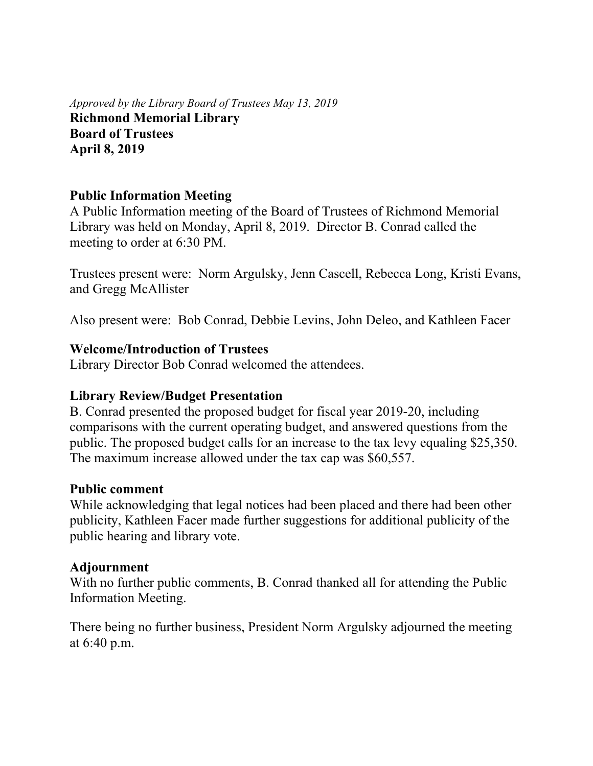*Approved by the Library Board of Trustees May 13, 2019* **Richmond Memorial Library Board of Trustees April 8, 2019** 

# **Public Information Meeting**

A Public Information meeting of the Board of Trustees of Richmond Memorial Library was held on Monday, April 8, 2019. Director B. Conrad called the meeting to order at 6:30 PM.

Trustees present were: Norm Argulsky, Jenn Cascell, Rebecca Long, Kristi Evans, and Gregg McAllister

Also present were: Bob Conrad, Debbie Levins, John Deleo, and Kathleen Facer

#### **Welcome/Introduction of Trustees**

Library Director Bob Conrad welcomed the attendees.

#### **Library Review/Budget Presentation**

B. Conrad presented the proposed budget for fiscal year 2019-20, including comparisons with the current operating budget, and answered questions from the public. The proposed budget calls for an increase to the tax levy equaling \$25,350. The maximum increase allowed under the tax cap was \$60,557.

#### **Public comment**

While acknowledging that legal notices had been placed and there had been other publicity, Kathleen Facer made further suggestions for additional publicity of the public hearing and library vote.

#### **Adjournment**

With no further public comments, B. Conrad thanked all for attending the Public Information Meeting.

There being no further business, President Norm Argulsky adjourned the meeting at 6:40 p.m.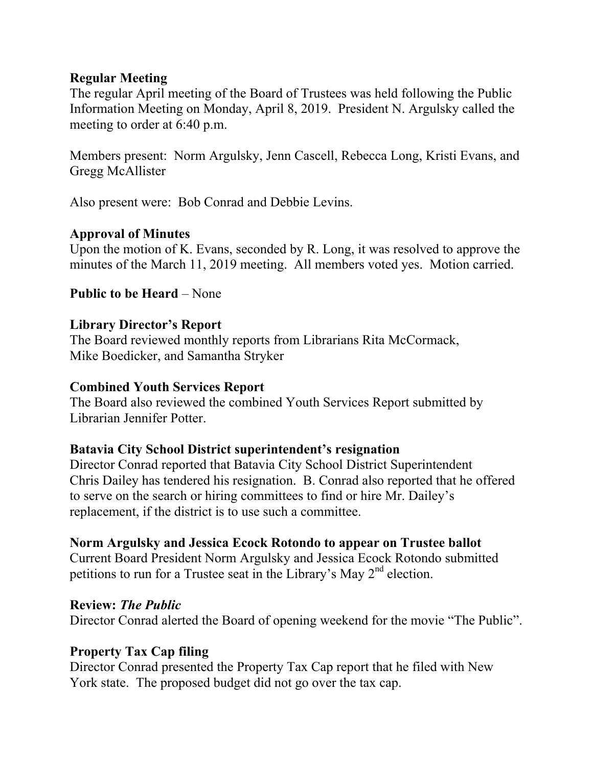### **Regular Meeting**

The regular April meeting of the Board of Trustees was held following the Public Information Meeting on Monday, April 8, 2019. President N. Argulsky called the meeting to order at 6:40 p.m.

Members present: Norm Argulsky, Jenn Cascell, Rebecca Long, Kristi Evans, and Gregg McAllister

Also present were: Bob Conrad and Debbie Levins.

# **Approval of Minutes**

Upon the motion of K. Evans, seconded by R. Long, it was resolved to approve the minutes of the March 11, 2019 meeting. All members voted yes. Motion carried.

# **Public to be Heard – None**

#### **Library Director's Report**

The Board reviewed monthly reports from Librarians Rita McCormack, Mike Boedicker, and Samantha Stryker

#### **Combined Youth Services Report**

The Board also reviewed the combined Youth Services Report submitted by Librarian Jennifer Potter.

#### **Batavia City School District superintendent's resignation**

Director Conrad reported that Batavia City School District Superintendent Chris Dailey has tendered his resignation. B. Conrad also reported that he offered to serve on the search or hiring committees to find or hire Mr. Dailey's replacement, if the district is to use such a committee.

#### **Norm Argulsky and Jessica Ecock Rotondo to appear on Trustee ballot**

Current Board President Norm Argulsky and Jessica Ecock Rotondo submitted petitions to run for a Trustee seat in the Library's May  $2<sup>nd</sup>$  election.

#### **Review:** *The Public*

Director Conrad alerted the Board of opening weekend for the movie "The Public".

#### **Property Tax Cap filing**

Director Conrad presented the Property Tax Cap report that he filed with New York state. The proposed budget did not go over the tax cap.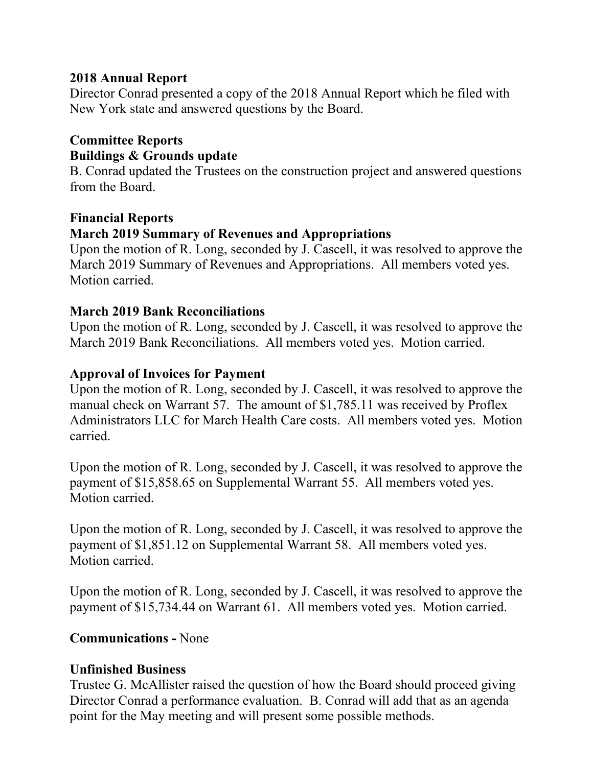# **2018 Annual Report**

Director Conrad presented a copy of the 2018 Annual Report which he filed with New York state and answered questions by the Board.

#### **Committee Reports Buildings & Grounds update**

B. Conrad updated the Trustees on the construction project and answered questions from the Board.

# **Financial Reports March 2019 Summary of Revenues and Appropriations**

Upon the motion of R. Long, seconded by J. Cascell, it was resolved to approve the March 2019 Summary of Revenues and Appropriations. All members voted yes. Motion carried.

# **March 2019 Bank Reconciliations**

Upon the motion of R. Long, seconded by J. Cascell, it was resolved to approve the March 2019 Bank Reconciliations. All members voted yes. Motion carried.

# **Approval of Invoices for Payment**

Upon the motion of R. Long, seconded by J. Cascell, it was resolved to approve the manual check on Warrant 57. The amount of \$1,785.11 was received by Proflex Administrators LLC for March Health Care costs. All members voted yes. Motion carried.

Upon the motion of R. Long, seconded by J. Cascell, it was resolved to approve the payment of \$15,858.65 on Supplemental Warrant 55. All members voted yes. Motion carried.

Upon the motion of R. Long, seconded by J. Cascell, it was resolved to approve the payment of \$1,851.12 on Supplemental Warrant 58. All members voted yes. Motion carried.

Upon the motion of R. Long, seconded by J. Cascell, it was resolved to approve the payment of \$15,734.44 on Warrant 61. All members voted yes. Motion carried.

# **Communications -** None

#### **Unfinished Business**

Trustee G. McAllister raised the question of how the Board should proceed giving Director Conrad a performance evaluation. B. Conrad will add that as an agenda point for the May meeting and will present some possible methods.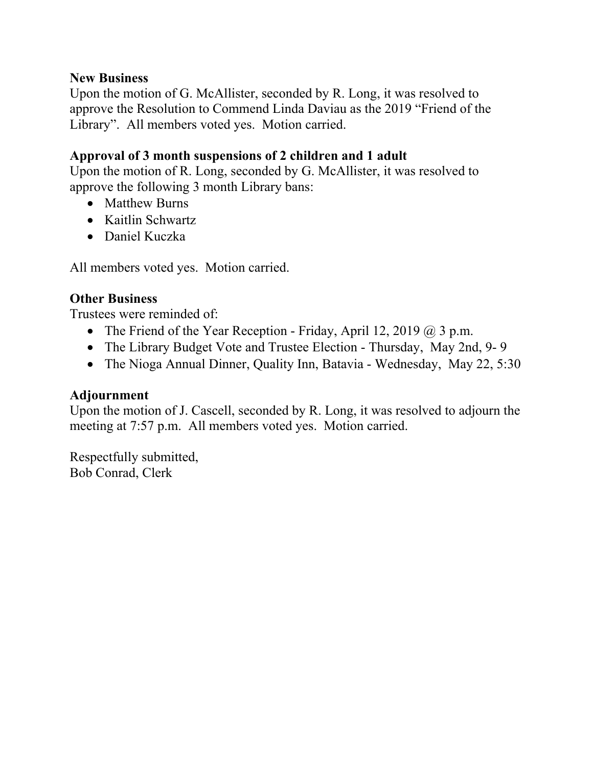#### **New Business**

Upon the motion of G. McAllister, seconded by R. Long, it was resolved to approve the Resolution to Commend Linda Daviau as the 2019 "Friend of the Library". All members voted yes. Motion carried.

# **Approval of 3 month suspensions of 2 children and 1 adult**

Upon the motion of R. Long, seconded by G. McAllister, it was resolved to approve the following 3 month Library bans:

- Matthew Burns
- Kaitlin Schwartz
- Daniel Kuczka

All members voted yes. Motion carried.

# **Other Business**

Trustees were reminded of:

- The Friend of the Year Reception Friday, April 12, 2019  $\omega$  3 p.m.
- The Library Budget Vote and Trustee Election Thursday, May 2nd, 9-9
- The Nioga Annual Dinner, Quality Inn, Batavia Wednesday, May 22, 5:30

# **Adjournment**

Upon the motion of J. Cascell, seconded by R. Long, it was resolved to adjourn the meeting at 7:57 p.m. All members voted yes. Motion carried.

Respectfully submitted, Bob Conrad, Clerk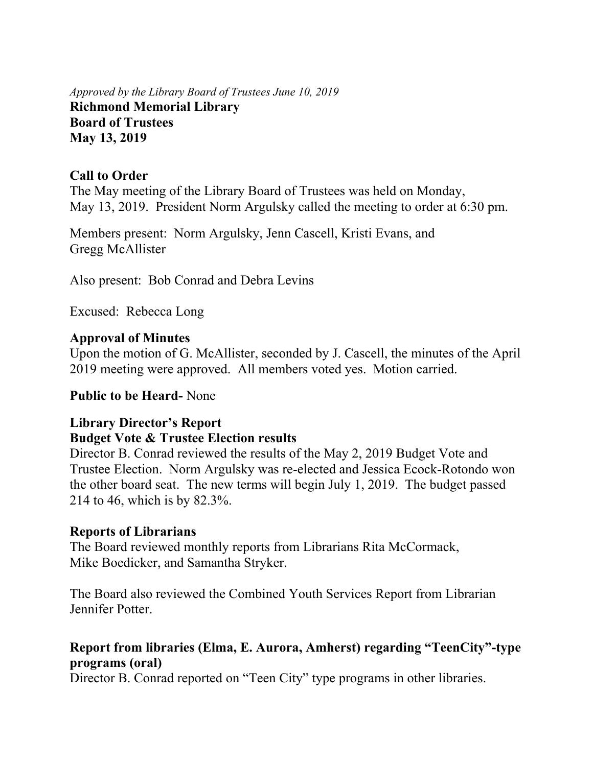*Approved by the Library Board of Trustees June 10, 2019* **Richmond Memorial Library Board of Trustees May 13, 2019** 

#### **Call to Order**

The May meeting of the Library Board of Trustees was held on Monday, May 13, 2019. President Norm Argulsky called the meeting to order at 6:30 pm.

Members present: Norm Argulsky, Jenn Cascell, Kristi Evans, and Gregg McAllister

Also present: Bob Conrad and Debra Levins

Excused: Rebecca Long

#### **Approval of Minutes**

Upon the motion of G. McAllister, seconded by J. Cascell, the minutes of the April 2019 meeting were approved. All members voted yes. Motion carried.

#### **Public to be Heard-** None

#### **Library Director's Report**

#### **Budget Vote & Trustee Election results**

Director B. Conrad reviewed the results of the May 2, 2019 Budget Vote and Trustee Election. Norm Argulsky was re-elected and Jessica Ecock-Rotondo won the other board seat. The new terms will begin July 1, 2019. The budget passed 214 to 46, which is by 82.3%.

#### **Reports of Librarians**

The Board reviewed monthly reports from Librarians Rita McCormack, Mike Boedicker, and Samantha Stryker.

The Board also reviewed the Combined Youth Services Report from Librarian Jennifer Potter.

# **Report from libraries (Elma, E. Aurora, Amherst) regarding "TeenCity"-type programs (oral)**

Director B. Conrad reported on "Teen City" type programs in other libraries.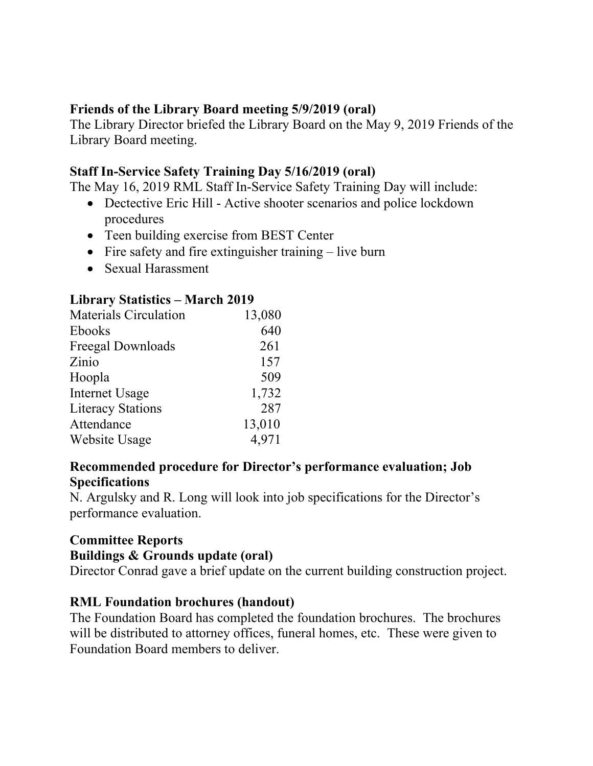# **Friends of the Library Board meeting 5/9/2019 (oral)**

The Library Director briefed the Library Board on the May 9, 2019 Friends of the Library Board meeting.

# **Staff In-Service Safety Training Day 5/16/2019 (oral)**

The May 16, 2019 RML Staff In-Service Safety Training Day will include:

- Dectective Eric Hill Active shooter scenarios and police lockdown procedures
- Teen building exercise from BEST Center
- Fire safety and fire extinguisher training live burn
- Sexual Harassment

# **Library Statistics – March 2019**

| 13,080 |
|--------|
| 640    |
| 261    |
| 157    |
| 509    |
| 1,732  |
| 287    |
| 13,010 |
| 4,971  |
|        |

# **Recommended procedure for Director's performance evaluation; Job Specifications**

N. Argulsky and R. Long will look into job specifications for the Director's performance evaluation.

# **Committee Reports**

# **Buildings & Grounds update (oral)**

Director Conrad gave a brief update on the current building construction project.

# **RML Foundation brochures (handout)**

The Foundation Board has completed the foundation brochures. The brochures will be distributed to attorney offices, funeral homes, etc. These were given to Foundation Board members to deliver.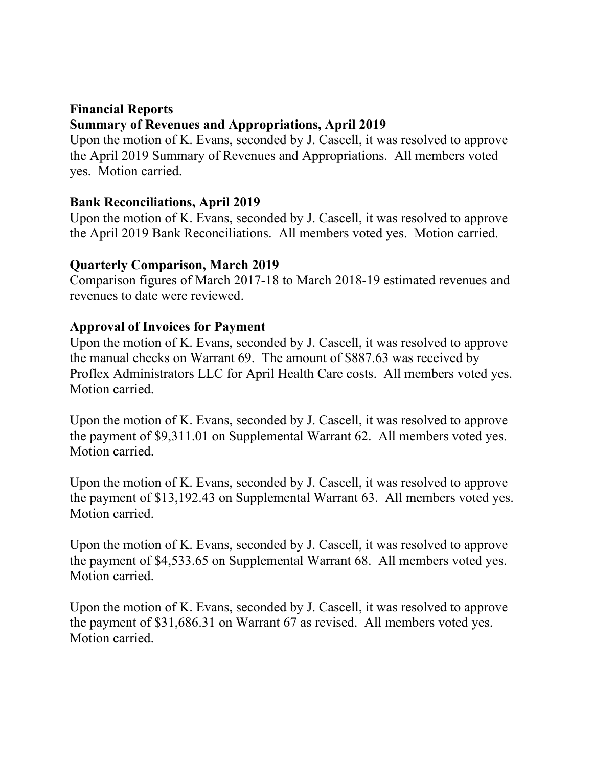# **Financial Reports Summary of Revenues and Appropriations, April 2019**

Upon the motion of K. Evans, seconded by J. Cascell, it was resolved to approve the April 2019 Summary of Revenues and Appropriations. All members voted yes. Motion carried.

# **Bank Reconciliations, April 2019**

Upon the motion of K. Evans, seconded by J. Cascell, it was resolved to approve the April 2019 Bank Reconciliations. All members voted yes. Motion carried.

# **Quarterly Comparison, March 2019**

Comparison figures of March 2017-18 to March 2018-19 estimated revenues and revenues to date were reviewed.

# **Approval of Invoices for Payment**

Upon the motion of K. Evans, seconded by J. Cascell, it was resolved to approve the manual checks on Warrant 69. The amount of \$887.63 was received by Proflex Administrators LLC for April Health Care costs. All members voted yes. Motion carried.

Upon the motion of K. Evans, seconded by J. Cascell, it was resolved to approve the payment of \$9,311.01 on Supplemental Warrant 62. All members voted yes. Motion carried.

Upon the motion of K. Evans, seconded by J. Cascell, it was resolved to approve the payment of \$13,192.43 on Supplemental Warrant 63. All members voted yes. Motion carried.

Upon the motion of K. Evans, seconded by J. Cascell, it was resolved to approve the payment of \$4,533.65 on Supplemental Warrant 68. All members voted yes. Motion carried.

Upon the motion of K. Evans, seconded by J. Cascell, it was resolved to approve the payment of \$31,686.31 on Warrant 67 as revised. All members voted yes. Motion carried.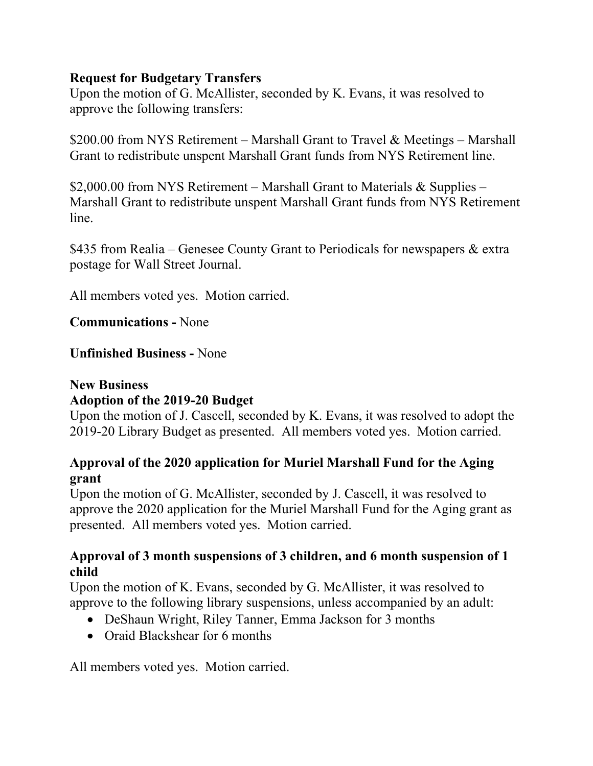# **Request for Budgetary Transfers**

Upon the motion of G. McAllister, seconded by K. Evans, it was resolved to approve the following transfers:

\$200.00 from NYS Retirement – Marshall Grant to Travel & Meetings – Marshall Grant to redistribute unspent Marshall Grant funds from NYS Retirement line.

\$2,000.00 from NYS Retirement – Marshall Grant to Materials  $\&$  Supplies – Marshall Grant to redistribute unspent Marshall Grant funds from NYS Retirement line.

\$435 from Realia – Genesee County Grant to Periodicals for newspapers & extra postage for Wall Street Journal.

All members voted yes. Motion carried.

**Communications -** None

#### **Unfinished Business -** None

# **New Business Adoption of the 2019-20 Budget**

Upon the motion of J. Cascell, seconded by K. Evans, it was resolved to adopt the 2019-20 Library Budget as presented. All members voted yes. Motion carried.

# **Approval of the 2020 application for Muriel Marshall Fund for the Aging grant**

Upon the motion of G. McAllister, seconded by J. Cascell, it was resolved to approve the 2020 application for the Muriel Marshall Fund for the Aging grant as presented. All members voted yes. Motion carried.

#### **Approval of 3 month suspensions of 3 children, and 6 month suspension of 1 child**

Upon the motion of K. Evans, seconded by G. McAllister, it was resolved to approve to the following library suspensions, unless accompanied by an adult:

- DeShaun Wright, Riley Tanner, Emma Jackson for 3 months
- Oraid Blackshear for 6 months

All members voted yes. Motion carried.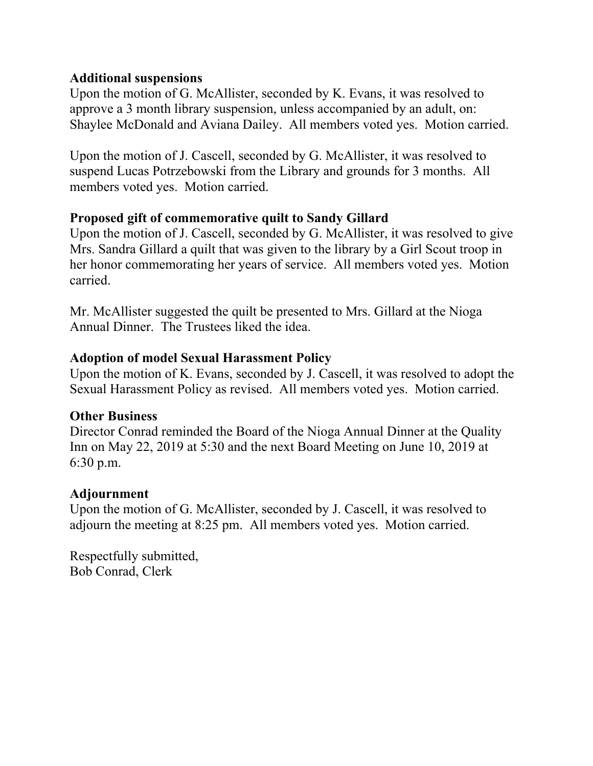### **Additional suspensions**

Upon the motion of G. McAllister, seconded by K. Evans, it was resolved to approve a 3 month library suspension, unless accompanied by an adult, on: Shaylee McDonald and Aviana Dailey. All members voted yes. Motion carried.

Upon the motion of J. Cascell, seconded by G. McAllister, it was resolved to suspend Lucas Potrzebowski from the Library and grounds for 3 months. All members voted yes. Motion carried.

# **Proposed gift of commemorative quilt to Sandy Gillard**

Upon the motion of J. Cascell, seconded by G. McAllister, it was resolved to give Mrs. Sandra Gillard a quilt that was given to the library by a Girl Scout troop in her honor commemorating her years of service. All members voted yes. Motion carried.

Mr. McAllister suggested the quilt be presented to Mrs. Gillard at the Nioga Annual Dinner. The Trustees liked the idea.

# **Adoption of model Sexual Harassment Policy**

Upon the motion of K. Evans, seconded by J. Cascell, it was resolved to adopt the Sexual Harassment Policy as revised. All members voted yes. Motion carried.

#### **Other Business**

Director Conrad reminded the Board of the Nioga Annual Dinner at the Quality Inn on May 22, 2019 at 5:30 and the next Board Meeting on June 10, 2019 at 6:30 p.m.

# **Adjournment**

Upon the motion of G. McAllister, seconded by J. Cascell, it was resolved to adjourn the meeting at 8:25 pm. All members voted yes. Motion carried.

Respectfully submitted, Bob Conrad, Clerk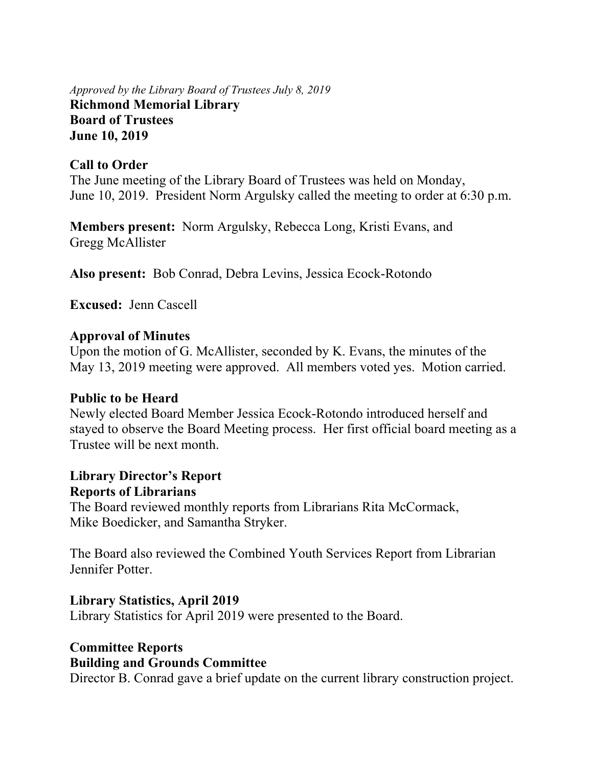*Approved by the Library Board of Trustees July 8, 2019* **Richmond Memorial Library Board of Trustees June 10, 2019** 

#### **Call to Order**

The June meeting of the Library Board of Trustees was held on Monday, June 10, 2019. President Norm Argulsky called the meeting to order at 6:30 p.m.

**Members present:** Norm Argulsky, Rebecca Long, Kristi Evans, and Gregg McAllister

**Also present:** Bob Conrad, Debra Levins, Jessica Ecock-Rotondo

**Excused:** Jenn Cascell

#### **Approval of Minutes**

Upon the motion of G. McAllister, seconded by K. Evans, the minutes of the May 13, 2019 meeting were approved. All members voted yes. Motion carried.

#### **Public to be Heard**

Newly elected Board Member Jessica Ecock-Rotondo introduced herself and stayed to observe the Board Meeting process. Her first official board meeting as a Trustee will be next month.

#### **Library Director's Report Reports of Librarians**

The Board reviewed monthly reports from Librarians Rita McCormack, Mike Boedicker, and Samantha Stryker.

The Board also reviewed the Combined Youth Services Report from Librarian Jennifer Potter.

#### **Library Statistics, April 2019**

Library Statistics for April 2019 were presented to the Board.

# **Committee Reports Building and Grounds Committee**

Director B. Conrad gave a brief update on the current library construction project.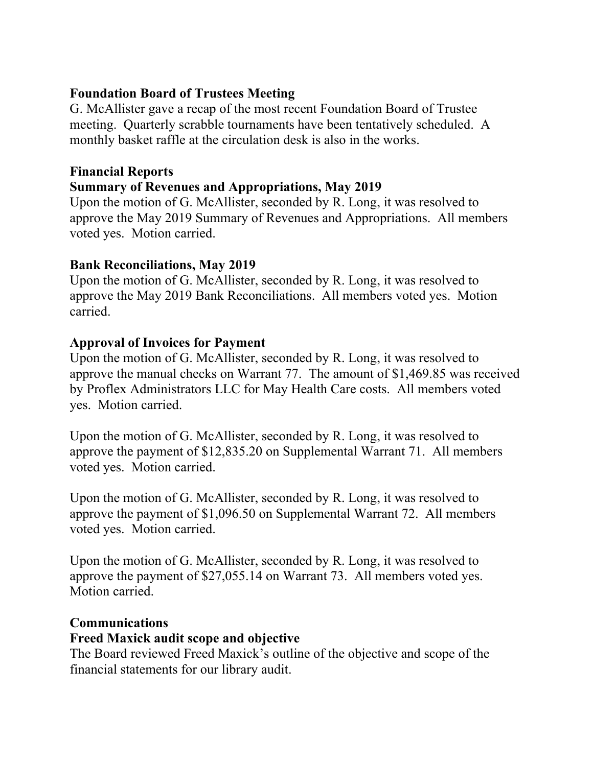# **Foundation Board of Trustees Meeting**

G. McAllister gave a recap of the most recent Foundation Board of Trustee meeting. Quarterly scrabble tournaments have been tentatively scheduled. A monthly basket raffle at the circulation desk is also in the works.

### **Financial Reports**

# **Summary of Revenues and Appropriations, May 2019**

Upon the motion of G. McAllister, seconded by R. Long, it was resolved to approve the May 2019 Summary of Revenues and Appropriations. All members voted yes. Motion carried.

# **Bank Reconciliations, May 2019**

Upon the motion of G. McAllister, seconded by R. Long, it was resolved to approve the May 2019 Bank Reconciliations. All members voted yes. Motion carried.

# **Approval of Invoices for Payment**

Upon the motion of G. McAllister, seconded by R. Long, it was resolved to approve the manual checks on Warrant 77. The amount of \$1,469.85 was received by Proflex Administrators LLC for May Health Care costs. All members voted yes. Motion carried.

Upon the motion of G. McAllister, seconded by R. Long, it was resolved to approve the payment of \$12,835.20 on Supplemental Warrant 71. All members voted yes. Motion carried.

Upon the motion of G. McAllister, seconded by R. Long, it was resolved to approve the payment of \$1,096.50 on Supplemental Warrant 72. All members voted yes. Motion carried.

Upon the motion of G. McAllister, seconded by R. Long, it was resolved to approve the payment of \$27,055.14 on Warrant 73. All members voted yes. Motion carried.

#### **Communications**

#### **Freed Maxick audit scope and objective**

The Board reviewed Freed Maxick's outline of the objective and scope of the financial statements for our library audit.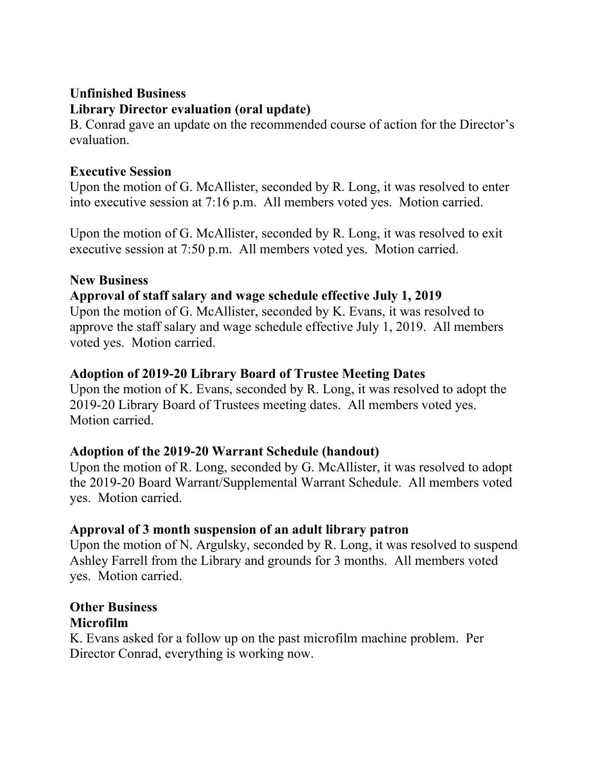#### **Unfinished Business Library Director evaluation (oral update)**

B. Conrad gave an update on the recommended course of action for the Director's evaluation.

# **Executive Session**

Upon the motion of G. McAllister, seconded by R. Long, it was resolved to enter into executive session at 7:16 p.m. All members voted yes. Motion carried.

Upon the motion of G. McAllister, seconded by R. Long, it was resolved to exit executive session at 7:50 p.m. All members voted yes. Motion carried.

# **New Business**

# **Approval of staff salary and wage schedule effective July 1, 2019**

Upon the motion of G. McAllister, seconded by K. Evans, it was resolved to approve the staff salary and wage schedule effective July 1, 2019. All members voted yes. Motion carried.

# **Adoption of 2019-20 Library Board of Trustee Meeting Dates**

Upon the motion of K. Evans, seconded by R. Long, it was resolved to adopt the 2019-20 Library Board of Trustees meeting dates. All members voted yes. Motion carried.

# **Adoption of the 2019-20 Warrant Schedule (handout)**

Upon the motion of R. Long, seconded by G. McAllister, it was resolved to adopt the 2019-20 Board Warrant/Supplemental Warrant Schedule. All members voted yes. Motion carried.

# **Approval of 3 month suspension of an adult library patron**

Upon the motion of N. Argulsky, seconded by R. Long, it was resolved to suspend Ashley Farrell from the Library and grounds for 3 months. All members voted yes. Motion carried.

#### **Other Business Microfilm**

K. Evans asked for a follow up on the past microfilm machine problem. Per Director Conrad, everything is working now.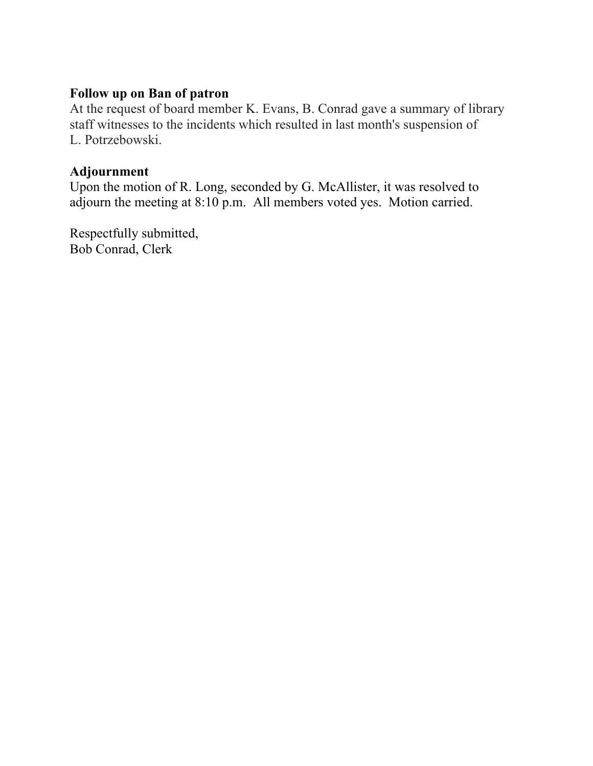# **Follow up on Ban of patron**

At the request of board member K. Evans, B. Conrad gave a summary of library staff witnesses to the incidents which resulted in last month's suspension of L. Potrzebowski.

#### **Adjournment**

Upon the motion of R. Long, seconded by G. McAllister, it was resolved to adjourn the meeting at 8:10 p.m. All members voted yes. Motion carried.

Respectfully submitted, Bob Conrad, Clerk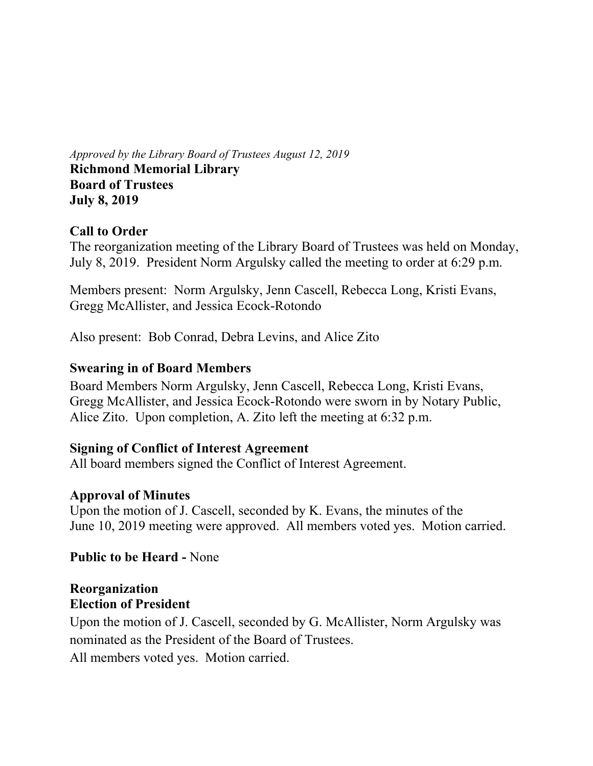*Approved by the Library Board of Trustees August 12, 2019* **Richmond Memorial Library Board of Trustees July 8, 2019** 

# **Call to Order**

The reorganization meeting of the Library Board of Trustees was held on Monday, July 8, 2019. President Norm Argulsky called the meeting to order at 6:29 p.m.

Members present: Norm Argulsky, Jenn Cascell, Rebecca Long, Kristi Evans, Gregg McAllister, and Jessica Ecock-Rotondo

Also present: Bob Conrad, Debra Levins, and Alice Zito

#### **Swearing in of Board Members**

Board Members Norm Argulsky, Jenn Cascell, Rebecca Long, Kristi Evans, Gregg McAllister, and Jessica Ecock-Rotondo were sworn in by Notary Public, Alice Zito. Upon completion, A. Zito left the meeting at 6:32 p.m.

#### **Signing of Conflict of Interest Agreement**

All board members signed the Conflict of Interest Agreement.

#### **Approval of Minutes**

Upon the motion of J. Cascell, seconded by K. Evans, the minutes of the June 10, 2019 meeting were approved. All members voted yes. Motion carried.

**Public to be Heard -** None

#### **Reorganization Election of President**

Upon the motion of J. Cascell, seconded by G. McAllister, Norm Argulsky was nominated as the President of the Board of Trustees.

All members voted yes. Motion carried.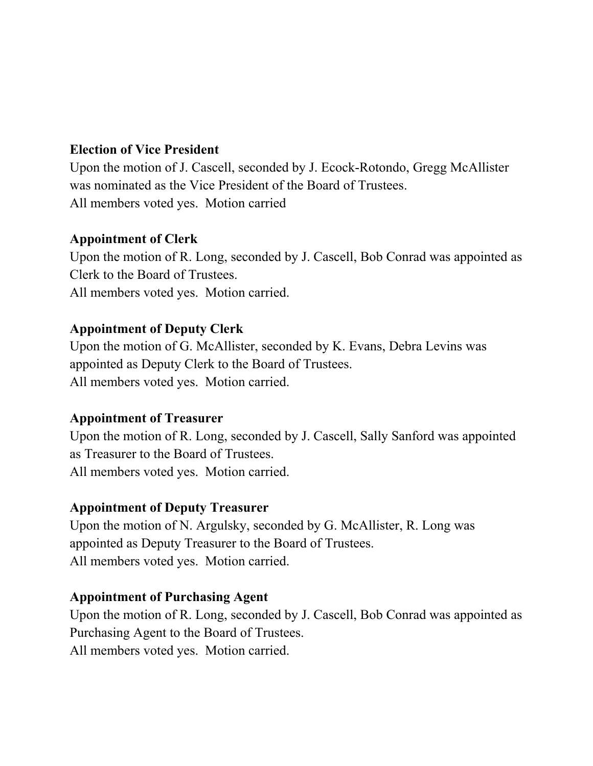# **Election of Vice President**

Upon the motion of J. Cascell, seconded by J. Ecock-Rotondo, Gregg McAllister was nominated as the Vice President of the Board of Trustees. All members voted yes. Motion carried

# **Appointment of Clerk**

Upon the motion of R. Long, seconded by J. Cascell, Bob Conrad was appointed as Clerk to the Board of Trustees. All members voted yes. Motion carried.

# **Appointment of Deputy Clerk**

Upon the motion of G. McAllister, seconded by K. Evans, Debra Levins was appointed as Deputy Clerk to the Board of Trustees. All members voted yes. Motion carried.

#### **Appointment of Treasurer**

Upon the motion of R. Long, seconded by J. Cascell, Sally Sanford was appointed as Treasurer to the Board of Trustees. All members voted yes. Motion carried.

# **Appointment of Deputy Treasurer**

Upon the motion of N. Argulsky, seconded by G. McAllister, R. Long was appointed as Deputy Treasurer to the Board of Trustees. All members voted yes. Motion carried.

#### **Appointment of Purchasing Agent**

Upon the motion of R. Long, seconded by J. Cascell, Bob Conrad was appointed as Purchasing Agent to the Board of Trustees. All members voted yes. Motion carried.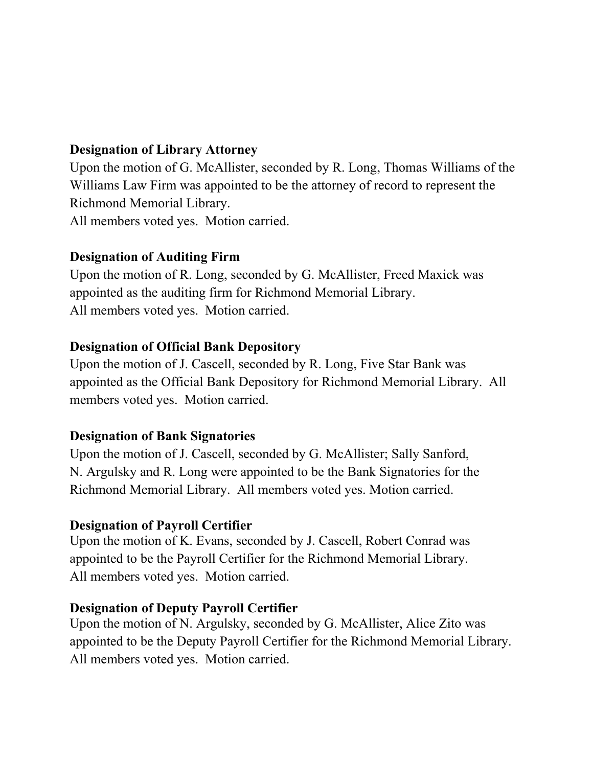# **Designation of Library Attorney**

Upon the motion of G. McAllister, seconded by R. Long, Thomas Williams of the Williams Law Firm was appointed to be the attorney of record to represent the Richmond Memorial Library.

All members voted yes. Motion carried.

# **Designation of Auditing Firm**

Upon the motion of R. Long, seconded by G. McAllister, Freed Maxick was appointed as the auditing firm for Richmond Memorial Library. All members voted yes. Motion carried.

# **Designation of Official Bank Depository**

Upon the motion of J. Cascell, seconded by R. Long, Five Star Bank was appointed as the Official Bank Depository for Richmond Memorial Library.All members voted yes. Motion carried.

#### **Designation of Bank Signatories**

Upon the motion of J. Cascell, seconded by G. McAllister; Sally Sanford, N. Argulsky and R. Long were appointed to be the Bank Signatories for the Richmond Memorial Library. All members voted yes. Motion carried.

# **Designation of Payroll Certifier**

Upon the motion of K. Evans, seconded by J. Cascell, Robert Conrad was appointed to be the Payroll Certifier for the Richmond Memorial Library. All members voted yes. Motion carried.

#### **Designation of Deputy Payroll Certifier**

Upon the motion of N. Argulsky, seconded by G. McAllister, Alice Zito was appointed to be the Deputy Payroll Certifier for the Richmond Memorial Library. All members voted yes. Motion carried.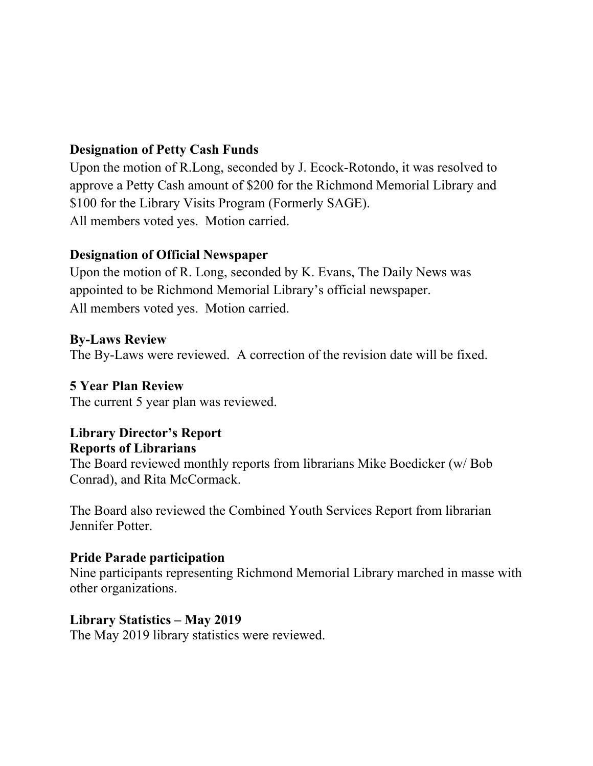# **Designation of Petty Cash Funds**

Upon the motion of R.Long, seconded by J. Ecock-Rotondo, it was resolved to approve a Petty Cash amount of \$200 for the Richmond Memorial Library and \$100 for the Library Visits Program (Formerly SAGE). All members voted yes. Motion carried.

# **Designation of Official Newspaper**

Upon the motion of R. Long, seconded by K. Evans, The Daily News was appointed to be Richmond Memorial Library's official newspaper. All members voted yes. Motion carried.

# **By-Laws Review**

The By-Laws were reviewed. A correction of the revision date will be fixed.

#### **5 Year Plan Review**

The current 5 year plan was reviewed.

# **Library Director's Report Reports of Librarians**

The Board reviewed monthly reports from librarians Mike Boedicker (w/ Bob Conrad), and Rita McCormack.

The Board also reviewed the Combined Youth Services Report from librarian Jennifer Potter.

#### **Pride Parade participation**

Nine participants representing Richmond Memorial Library marched in masse with other organizations.

#### **Library Statistics – May 2019**

The May 2019 library statistics were reviewed.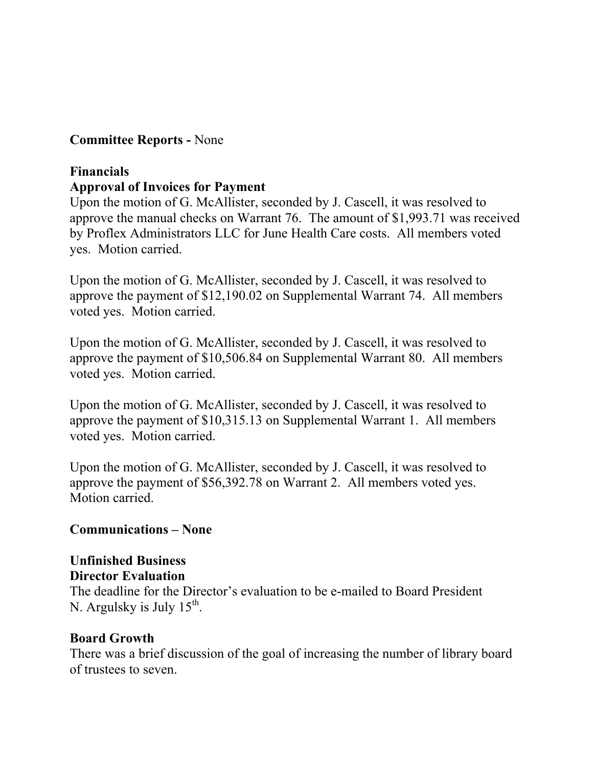# **Committee Reports -** None

# **Financials**

# **Approval of Invoices for Payment**

Upon the motion of G. McAllister, seconded by J. Cascell, it was resolved to approve the manual checks on Warrant 76. The amount of \$1,993.71 was received by Proflex Administrators LLC for June Health Care costs. All members voted yes. Motion carried.

Upon the motion of G. McAllister, seconded by J. Cascell, it was resolved to approve the payment of \$12,190.02 on Supplemental Warrant 74. All members voted yes. Motion carried.

Upon the motion of G. McAllister, seconded by J. Cascell, it was resolved to approve the payment of \$10,506.84 on Supplemental Warrant 80. All members voted yes. Motion carried.

Upon the motion of G. McAllister, seconded by J. Cascell, it was resolved to approve the payment of \$10,315.13 on Supplemental Warrant 1. All members voted yes. Motion carried.

Upon the motion of G. McAllister, seconded by J. Cascell, it was resolved to approve the payment of \$56,392.78 on Warrant 2. All members voted yes. Motion carried.

# **Communications – None**

#### **Unfinished Business Director Evaluation**

The deadline for the Director's evaluation to be e-mailed to Board President N. Argulsky is July  $15^{th}$ .

#### **Board Growth**

There was a brief discussion of the goal of increasing the number of library board of trustees to seven.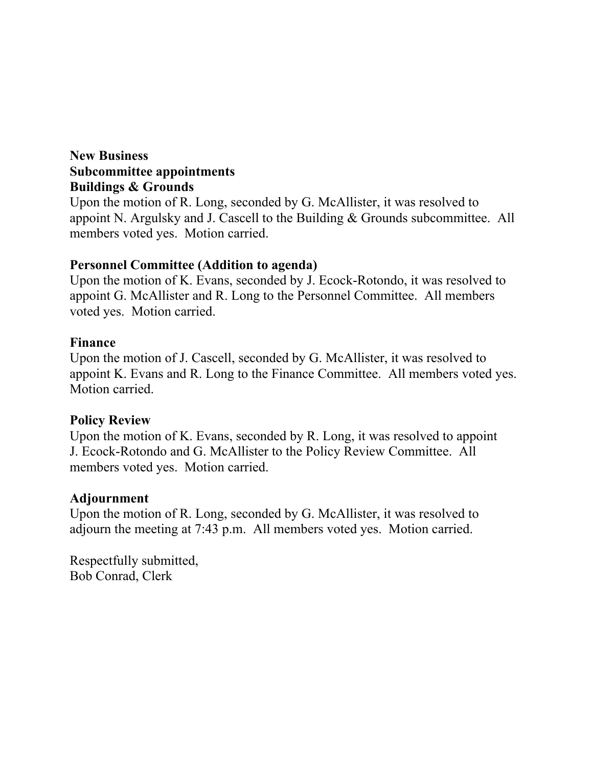### **New Business Subcommittee appointments Buildings & Grounds**

Upon the motion of R. Long, seconded by G. McAllister, it was resolved to appoint N. Argulsky and J. Cascell to the Building & Grounds subcommittee. All members voted yes. Motion carried.

#### **Personnel Committee (Addition to agenda)**

Upon the motion of K. Evans, seconded by J. Ecock-Rotondo, it was resolved to appoint G. McAllister and R. Long to the Personnel Committee. All members voted yes. Motion carried.

#### **Finance**

Upon the motion of J. Cascell, seconded by G. McAllister, it was resolved to appoint K. Evans and R. Long to the Finance Committee. All members voted yes. Motion carried.

#### **Policy Review**

Upon the motion of K. Evans, seconded by R. Long, it was resolved to appoint J. Ecock-Rotondo and G. McAllister to the Policy Review Committee. All members voted yes. Motion carried.

#### **Adjournment**

Upon the motion of R. Long, seconded by G. McAllister, it was resolved to adjourn the meeting at 7:43 p.m. All members voted yes. Motion carried.

Respectfully submitted, Bob Conrad, Clerk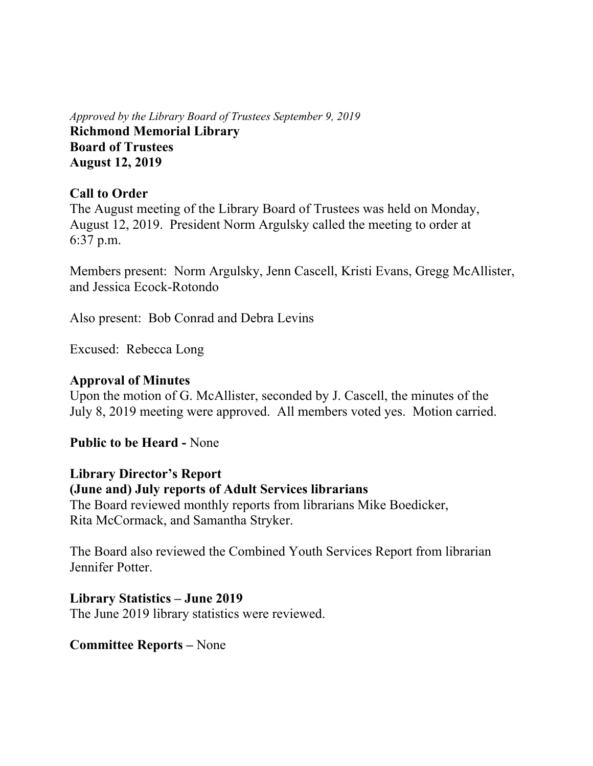*Approved by the Library Board of Trustees September 9, 2019* **Richmond Memorial Library Board of Trustees August 12, 2019** 

#### **Call to Order**

The August meeting of the Library Board of Trustees was held on Monday, August 12, 2019. President Norm Argulsky called the meeting to order at 6:37 p.m.

Members present: Norm Argulsky, Jenn Cascell, Kristi Evans, Gregg McAllister, and Jessica Ecock-Rotondo

Also present: Bob Conrad and Debra Levins

Excused: Rebecca Long

### **Approval of Minutes**

Upon the motion of G. McAllister, seconded by J. Cascell, the minutes of the July 8, 2019 meeting were approved. All members voted yes. Motion carried.

**Public to be Heard -** None

# **Library Director's Report**

#### **(June and) July reports of Adult Services librarians**

The Board reviewed monthly reports from librarians Mike Boedicker, Rita McCormack, and Samantha Stryker.

The Board also reviewed the Combined Youth Services Report from librarian Jennifer Potter.

# **Library Statistics – June 2019**

The June 2019 library statistics were reviewed.

#### **Committee Reports –** None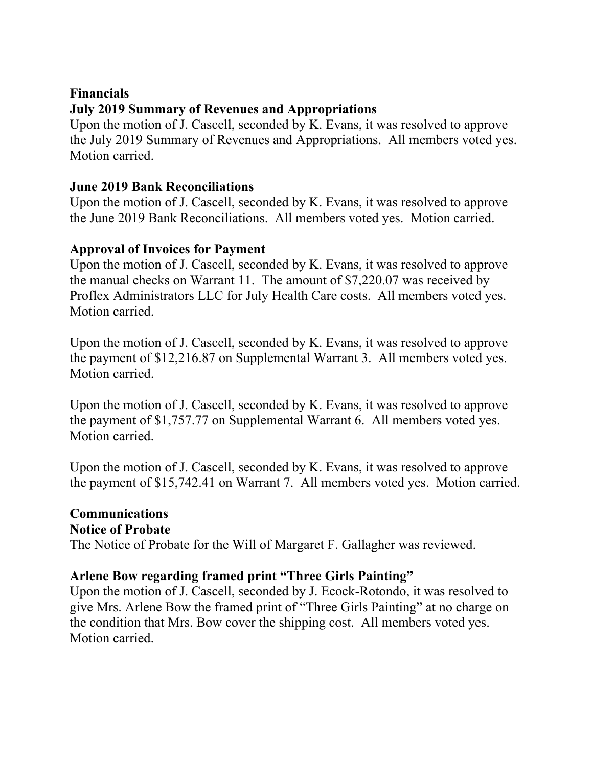# **Financials July 2019 Summary of Revenues and Appropriations**

Upon the motion of J. Cascell, seconded by K. Evans, it was resolved to approve the July 2019 Summary of Revenues and Appropriations. All members voted yes. Motion carried.

# **June 2019 Bank Reconciliations**

Upon the motion of J. Cascell, seconded by K. Evans, it was resolved to approve the June 2019 Bank Reconciliations. All members voted yes. Motion carried.

# **Approval of Invoices for Payment**

Upon the motion of J. Cascell, seconded by K. Evans, it was resolved to approve the manual checks on Warrant 11. The amount of \$7,220.07 was received by Proflex Administrators LLC for July Health Care costs. All members voted yes. Motion carried.

Upon the motion of J. Cascell, seconded by K. Evans, it was resolved to approve the payment of \$12,216.87 on Supplemental Warrant 3. All members voted yes. Motion carried.

Upon the motion of J. Cascell, seconded by K. Evans, it was resolved to approve the payment of \$1,757.77 on Supplemental Warrant 6. All members voted yes. Motion carried.

Upon the motion of J. Cascell, seconded by K. Evans, it was resolved to approve the payment of \$15,742.41 on Warrant 7. All members voted yes. Motion carried.

# **Communications Notice of Probate**  The Notice of Probate for the Will of Margaret F. Gallagher was reviewed.

# **Arlene Bow regarding framed print "Three Girls Painting"**

Upon the motion of J. Cascell, seconded by J. Ecock-Rotondo, it was resolved to give Mrs. Arlene Bow the framed print of "Three Girls Painting" at no charge on the condition that Mrs. Bow cover the shipping cost. All members voted yes. Motion carried.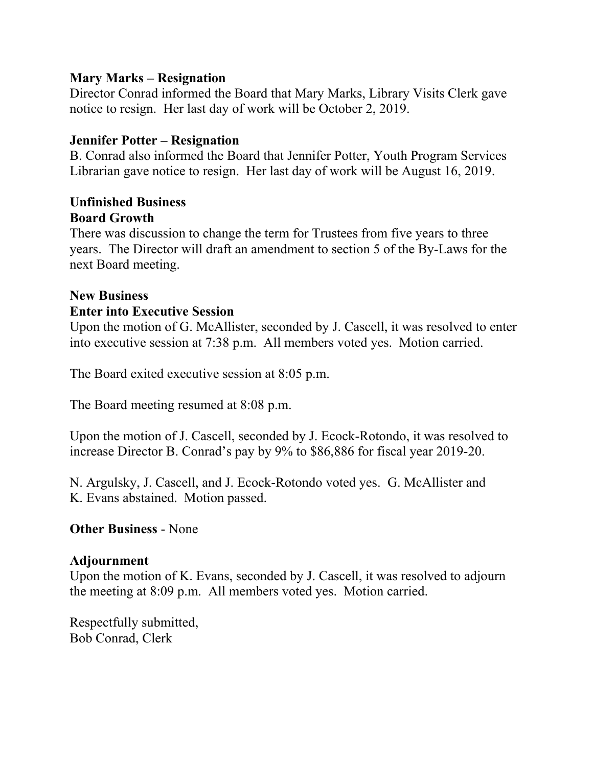#### **Mary Marks – Resignation**

Director Conrad informed the Board that Mary Marks, Library Visits Clerk gave notice to resign. Her last day of work will be October 2, 2019.

# **Jennifer Potter – Resignation**

B. Conrad also informed the Board that Jennifer Potter, Youth Program Services Librarian gave notice to resign. Her last day of work will be August 16, 2019.

### **Unfinished Business Board Growth**

There was discussion to change the term for Trustees from five years to three years. The Director will draft an amendment to section 5 of the By-Laws for the next Board meeting.

# **New Business Enter into Executive Session**

Upon the motion of G. McAllister, seconded by J. Cascell, it was resolved to enter into executive session at 7:38 p.m. All members voted yes. Motion carried.

The Board exited executive session at 8:05 p.m.

The Board meeting resumed at 8:08 p.m.

Upon the motion of J. Cascell, seconded by J. Ecock-Rotondo, it was resolved to increase Director B. Conrad's pay by 9% to \$86,886 for fiscal year 2019-20.

N. Argulsky, J. Cascell, and J. Ecock-Rotondo voted yes. G. McAllister and K. Evans abstained. Motion passed.

# **Other Business** - None

#### **Adjournment**

Upon the motion of K. Evans, seconded by J. Cascell, it was resolved to adjourn the meeting at 8:09 p.m. All members voted yes. Motion carried.

Respectfully submitted, Bob Conrad, Clerk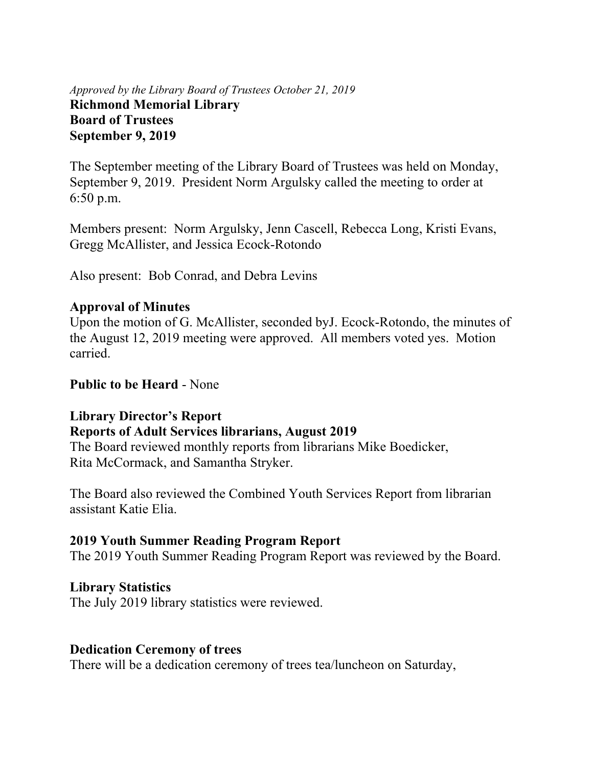#### *Approved by the Library Board of Trustees October 21, 2019* **Richmond Memorial Library Board of Trustees September 9, 2019**

The September meeting of the Library Board of Trustees was held on Monday, September 9, 2019. President Norm Argulsky called the meeting to order at 6:50 p.m.

Members present: Norm Argulsky, Jenn Cascell, Rebecca Long, Kristi Evans, Gregg McAllister, and Jessica Ecock-Rotondo

Also present: Bob Conrad, and Debra Levins

#### **Approval of Minutes**

Upon the motion of G. McAllister, seconded byJ. Ecock-Rotondo, the minutes of the August 12, 2019 meeting were approved. All members voted yes. Motion carried.

#### **Public to be Heard** - None

#### **Library Director's Report**

#### **Reports of Adult Services librarians, August 2019**

The Board reviewed monthly reports from librarians Mike Boedicker, Rita McCormack, and Samantha Stryker.

The Board also reviewed the Combined Youth Services Report from librarian assistant Katie Elia.

#### **2019 Youth Summer Reading Program Report**

The 2019 Youth Summer Reading Program Report was reviewed by the Board.

#### **Library Statistics**

The July 2019 library statistics were reviewed.

#### **Dedication Ceremony of trees**

There will be a dedication ceremony of trees tea/luncheon on Saturday,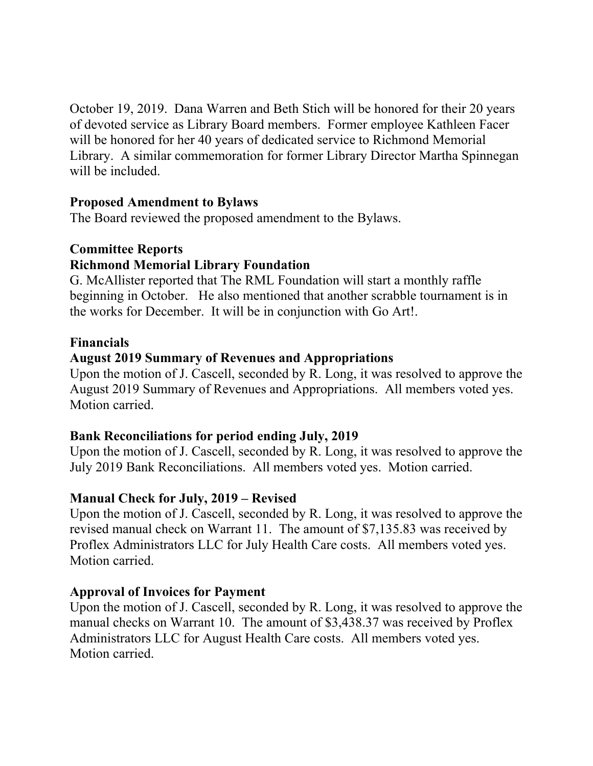October 19, 2019. Dana Warren and Beth Stich will be honored for their 20 years of devoted service as Library Board members. Former employee Kathleen Facer will be honored for her 40 years of dedicated service to Richmond Memorial Library. A similar commemoration for former Library Director Martha Spinnegan will be included.

#### **Proposed Amendment to Bylaws**

The Board reviewed the proposed amendment to the Bylaws.

#### **Committee Reports**

#### **Richmond Memorial Library Foundation**

G. McAllister reported that The RML Foundation will start a monthly raffle beginning in October. He also mentioned that another scrabble tournament is in the works for December. It will be in conjunction with Go Art!.

#### **Financials**

#### **August 2019 Summary of Revenues and Appropriations**

Upon the motion of J. Cascell, seconded by R. Long, it was resolved to approve the August 2019 Summary of Revenues and Appropriations. All members voted yes. Motion carried.

#### **Bank Reconciliations for period ending July, 2019**

Upon the motion of J. Cascell, seconded by R. Long, it was resolved to approve the July 2019 Bank Reconciliations. All members voted yes. Motion carried.

#### **Manual Check for July, 2019 – Revised**

Upon the motion of J. Cascell, seconded by R. Long, it was resolved to approve the revised manual check on Warrant 11. The amount of \$7,135.83 was received by Proflex Administrators LLC for July Health Care costs. All members voted yes. Motion carried.

#### **Approval of Invoices for Payment**

Upon the motion of J. Cascell, seconded by R. Long, it was resolved to approve the manual checks on Warrant 10. The amount of \$3,438.37 was received by Proflex Administrators LLC for August Health Care costs. All members voted yes. Motion carried.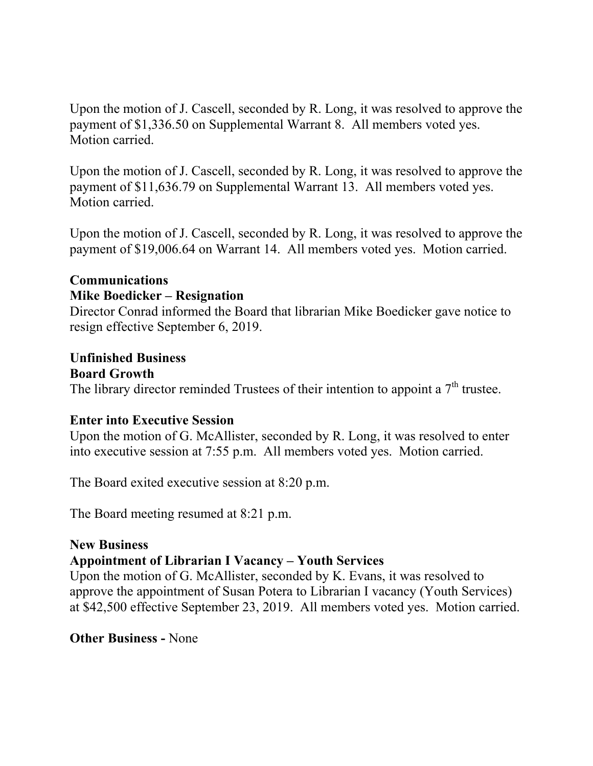Upon the motion of J. Cascell, seconded by R. Long, it was resolved to approve the payment of \$1,336.50 on Supplemental Warrant 8. All members voted yes. Motion carried.

Upon the motion of J. Cascell, seconded by R. Long, it was resolved to approve the payment of \$11,636.79 on Supplemental Warrant 13. All members voted yes. Motion carried.

Upon the motion of J. Cascell, seconded by R. Long, it was resolved to approve the payment of \$19,006.64 on Warrant 14. All members voted yes. Motion carried.

# **Communications**

#### **Mike Boedicker – Resignation**

Director Conrad informed the Board that librarian Mike Boedicker gave notice to resign effective September 6, 2019.

# **Unfinished Business**

#### **Board Growth**

The library director reminded Trustees of their intention to appoint a  $7<sup>th</sup>$  trustee.

#### **Enter into Executive Session**

Upon the motion of G. McAllister, seconded by R. Long, it was resolved to enter into executive session at 7:55 p.m. All members voted yes. Motion carried.

The Board exited executive session at 8:20 p.m.

The Board meeting resumed at 8:21 p.m.

#### **New Business**

# **Appointment of Librarian I Vacancy – Youth Services**

Upon the motion of G. McAllister, seconded by K. Evans, it was resolved to approve the appointment of Susan Potera to Librarian I vacancy (Youth Services) at \$42,500 effective September 23, 2019. All members voted yes. Motion carried.

#### **Other Business -** None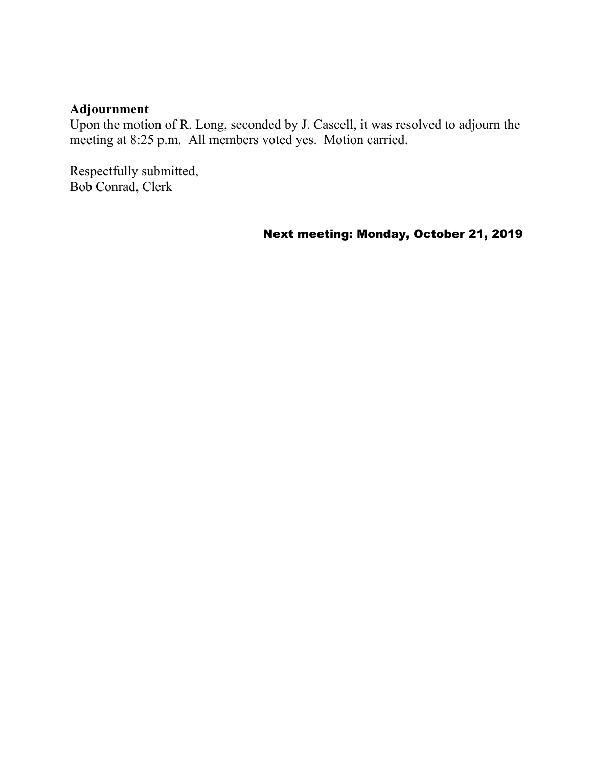# **Adjournment**

Upon the motion of R. Long, seconded by J. Cascell, it was resolved to adjourn the meeting at 8:25 p.m. All members voted yes. Motion carried.

Respectfully submitted, Bob Conrad, Clerk

Next meeting: Monday, October 21, 2019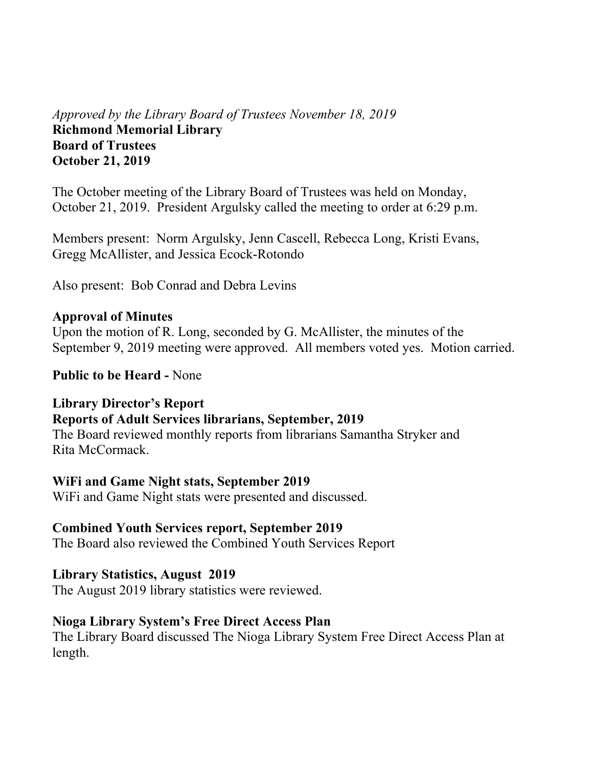# *Approved by the Library Board of Trustees November 18, 2019* **Richmond Memorial Library Board of Trustees October 21, 2019**

The October meeting of the Library Board of Trustees was held on Monday, October 21, 2019. President Argulsky called the meeting to order at 6:29 p.m.

Members present: Norm Argulsky, Jenn Cascell, Rebecca Long, Kristi Evans, Gregg McAllister, and Jessica Ecock-Rotondo

Also present: Bob Conrad and Debra Levins

#### **Approval of Minutes**

Upon the motion of R. Long, seconded by G. McAllister, the minutes of the September 9, 2019 meeting were approved. All members voted yes. Motion carried.

**Public to be Heard -** None

#### **Library Director's Report**

# **Reports of Adult Services librarians, September, 2019**

The Board reviewed monthly reports from librarians Samantha Stryker and Rita McCormack.

#### **WiFi and Game Night stats, September 2019**

WiFi and Game Night stats were presented and discussed.

#### **Combined Youth Services report, September 2019**

The Board also reviewed the Combined Youth Services Report

#### **Library Statistics, August 2019**

The August 2019 library statistics were reviewed.

#### **Nioga Library System's Free Direct Access Plan**

The Library Board discussed The Nioga Library System Free Direct Access Plan at length.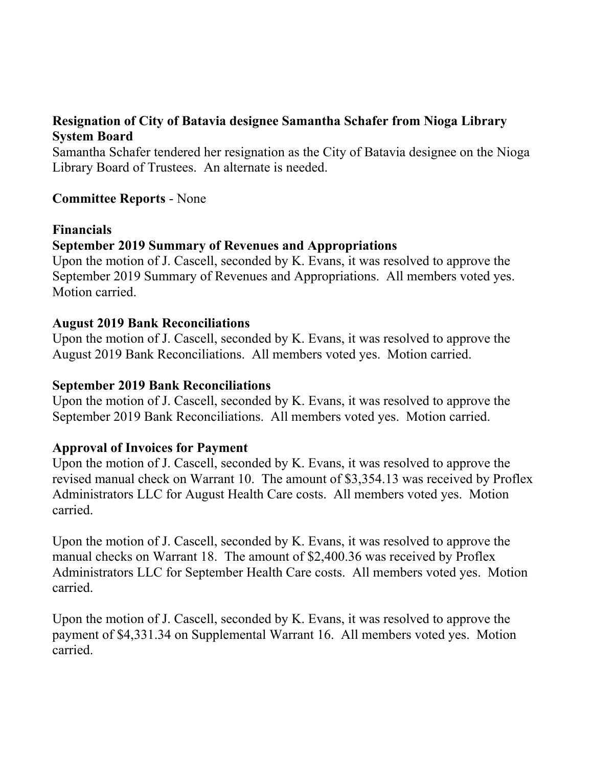# **Resignation of City of Batavia designee Samantha Schafer from Nioga Library System Board**

Samantha Schafer tendered her resignation as the City of Batavia designee on the Nioga Library Board of Trustees. An alternate is needed.

#### **Committee Reports** - None

#### **Financials**

# **September 2019 Summary of Revenues and Appropriations**

Upon the motion of J. Cascell, seconded by K. Evans, it was resolved to approve the September 2019 Summary of Revenues and Appropriations. All members voted yes. Motion carried.

#### **August 2019 Bank Reconciliations**

Upon the motion of J. Cascell, seconded by K. Evans, it was resolved to approve the August 2019 Bank Reconciliations. All members voted yes. Motion carried.

#### **September 2019 Bank Reconciliations**

Upon the motion of J. Cascell, seconded by K. Evans, it was resolved to approve the September 2019 Bank Reconciliations. All members voted yes. Motion carried.

#### **Approval of Invoices for Payment**

Upon the motion of J. Cascell, seconded by K. Evans, it was resolved to approve the revised manual check on Warrant 10. The amount of \$3,354.13 was received by Proflex Administrators LLC for August Health Care costs. All members voted yes. Motion carried.

Upon the motion of J. Cascell, seconded by K. Evans, it was resolved to approve the manual checks on Warrant 18. The amount of \$2,400.36 was received by Proflex Administrators LLC for September Health Care costs. All members voted yes. Motion carried.

Upon the motion of J. Cascell, seconded by K. Evans, it was resolved to approve the payment of \$4,331.34 on Supplemental Warrant 16. All members voted yes. Motion carried.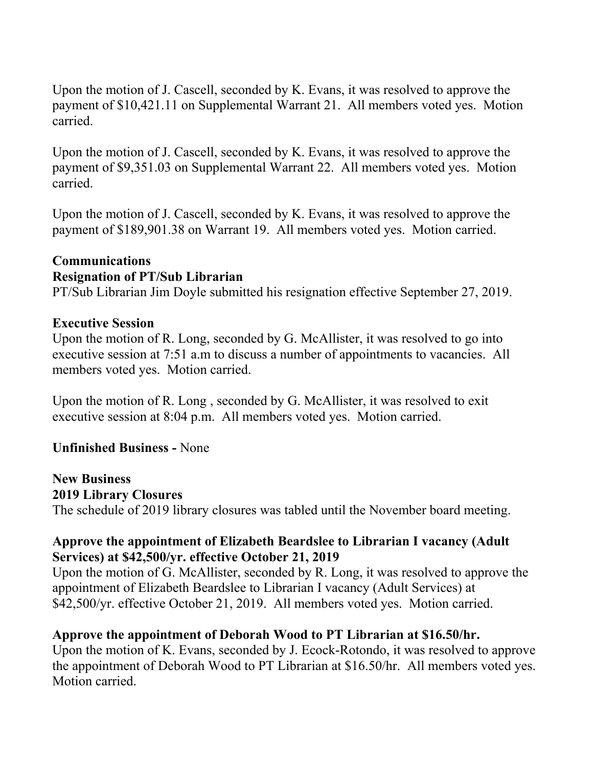Upon the motion of J. Cascell, seconded by K. Evans, it was resolved to approve the payment of \$10,421.11 on Supplemental Warrant 21. All members voted yes. Motion carried.

Upon the motion of J. Cascell, seconded by K. Evans, it was resolved to approve the payment of \$9,351.03 on Supplemental Warrant 22. All members voted yes. Motion carried.

Upon the motion of J. Cascell, seconded by K. Evans, it was resolved to approve the payment of \$189,901.38 on Warrant 19. All members voted yes. Motion carried.

# **Communications**

# **Resignation of PT/Sub Librarian**

PT/Sub Librarian Jim Doyle submitted his resignation effective September 27, 2019.

# **Executive Session**

Upon the motion of R. Long, seconded by G. McAllister, it was resolved to go into executive session at 7:51 a.m to discuss a number of appointments to vacancies. All members voted yes. Motion carried.

Upon the motion of R. Long , seconded by G. McAllister, it was resolved to exit executive session at 8:04 p.m. All members voted yes. Motion carried.

# **Unfinished Business -** None

**New Business 2019 Library Closures**  The schedule of 2019 library closures was tabled until the November board meeting.

# **Approve the appointment of Elizabeth Beardslee to Librarian I vacancy (Adult Services) at \$42,500/yr. effective October 21, 2019**

Upon the motion of G. McAllister, seconded by R. Long, it was resolved to approve the appointment of Elizabeth Beardslee to Librarian I vacancy (Adult Services) at \$42,500/yr. effective October 21, 2019. All members voted yes. Motion carried.

# **Approve the appointment of Deborah Wood to PT Librarian at \$16.50/hr.**

Upon the motion of K. Evans, seconded by J. Ecock-Rotondo, it was resolved to approve the appointment of Deborah Wood to PT Librarian at \$16.50/hr. All members voted yes. Motion carried.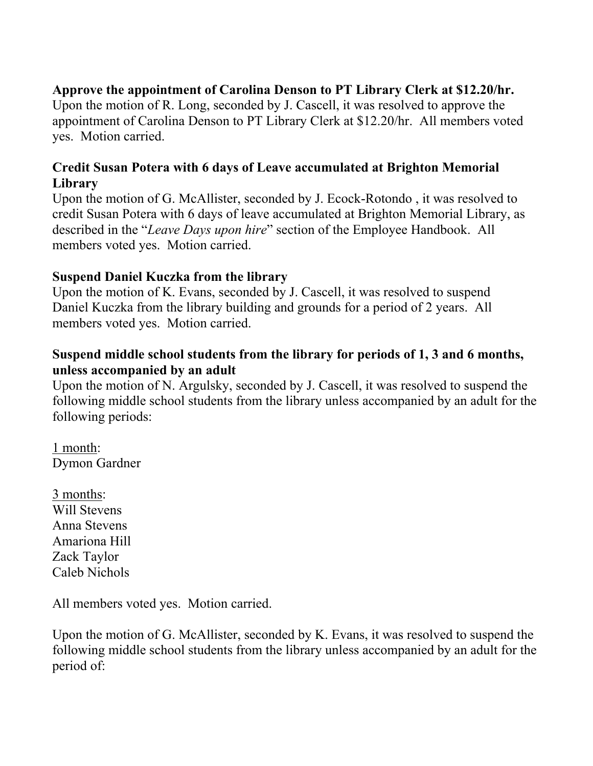# **Approve the appointment of Carolina Denson to PT Library Clerk at \$12.20/hr.**

Upon the motion of R. Long, seconded by J. Cascell, it was resolved to approve the appointment of Carolina Denson to PT Library Clerk at \$12.20/hr. All members voted yes. Motion carried.

# **Credit Susan Potera with 6 days of Leave accumulated at Brighton Memorial Library**

Upon the motion of G. McAllister, seconded by J. Ecock-Rotondo , it was resolved to credit Susan Potera with 6 days of leave accumulated at Brighton Memorial Library, as described in the "*Leave Days upon hire*" section of the Employee Handbook. All members voted yes. Motion carried.

# **Suspend Daniel Kuczka from the library**

Upon the motion of K. Evans, seconded by J. Cascell, it was resolved to suspend Daniel Kuczka from the library building and grounds for a period of 2 years. All members voted yes. Motion carried.

# **Suspend middle school students from the library for periods of 1, 3 and 6 months, unless accompanied by an adult**

Upon the motion of N. Argulsky, seconded by J. Cascell, it was resolved to suspend the following middle school students from the library unless accompanied by an adult for the following periods:

1 month: Dymon Gardner

3 months: Will Stevens Anna Stevens Amariona Hill Zack Taylor Caleb Nichols

All members voted yes. Motion carried.

Upon the motion of G. McAllister, seconded by K. Evans, it was resolved to suspend the following middle school students from the library unless accompanied by an adult for the period of: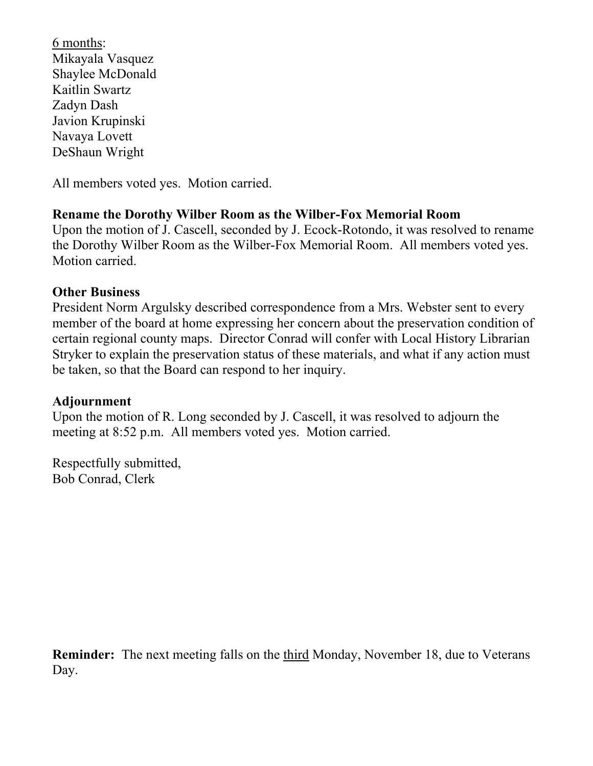6 months: Mikayala Vasquez Shaylee McDonald Kaitlin Swartz Zadyn Dash Javion Krupinski Navaya Lovett DeShaun Wright

All members voted yes. Motion carried.

#### **Rename the Dorothy Wilber Room as the Wilber-Fox Memorial Room**

Upon the motion of J. Cascell, seconded by J. Ecock-Rotondo, it was resolved to rename the Dorothy Wilber Room as the Wilber-Fox Memorial Room. All members voted yes. Motion carried.

#### **Other Business**

President Norm Argulsky described correspondence from a Mrs. Webster sent to every member of the board at home expressing her concern about the preservation condition of certain regional county maps. Director Conrad will confer with Local History Librarian Stryker to explain the preservation status of these materials, and what if any action must be taken, so that the Board can respond to her inquiry.

#### **Adjournment**

Upon the motion of R. Long seconded by J. Cascell, it was resolved to adjourn the meeting at 8:52 p.m. All members voted yes. Motion carried.

Respectfully submitted, Bob Conrad, Clerk

**Reminder:** The next meeting falls on the third Monday, November 18, due to Veterans Day.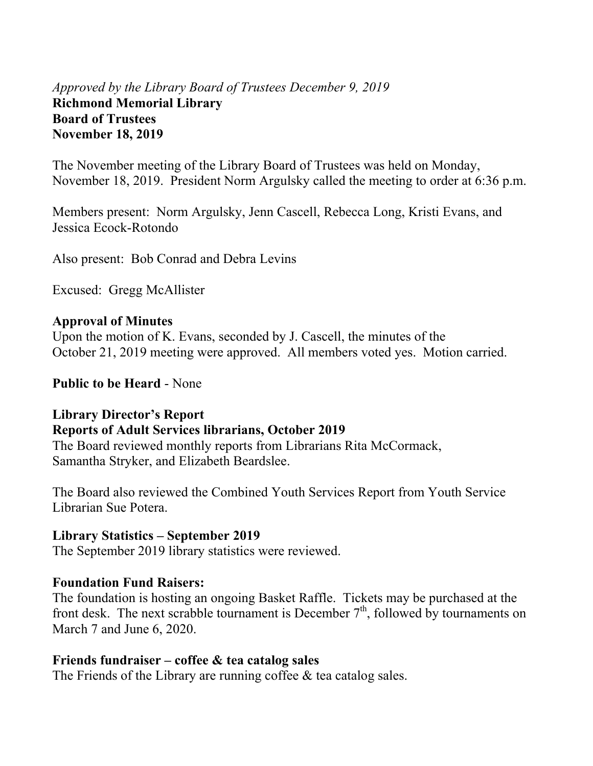# *Approved by the Library Board of Trustees December 9, 2019* **Richmond Memorial Library Board of Trustees November 18, 2019**

The November meeting of the Library Board of Trustees was held on Monday, November 18, 2019. President Norm Argulsky called the meeting to order at 6:36 p.m.

Members present: Norm Argulsky, Jenn Cascell, Rebecca Long, Kristi Evans, and Jessica Ecock-Rotondo

Also present: Bob Conrad and Debra Levins

Excused: Gregg McAllister

#### **Approval of Minutes**

Upon the motion of K. Evans, seconded by J. Cascell, the minutes of the October 21, 2019 meeting were approved. All members voted yes. Motion carried.

**Public to be Heard** - None

#### **Library Director's Report**

#### **Reports of Adult Services librarians, October 2019**

The Board reviewed monthly reports from Librarians Rita McCormack, Samantha Stryker, and Elizabeth Beardslee.

The Board also reviewed the Combined Youth Services Report from Youth Service Librarian Sue Potera.

#### **Library Statistics – September 2019**

The September 2019 library statistics were reviewed.

#### **Foundation Fund Raisers:**

The foundation is hosting an ongoing Basket Raffle. Tickets may be purchased at the front desk. The next scrabble tournament is December  $7<sup>th</sup>$ , followed by tournaments on March 7 and June 6, 2020.

#### **Friends fundraiser – coffee & tea catalog sales**

The Friends of the Library are running coffee & tea catalog sales.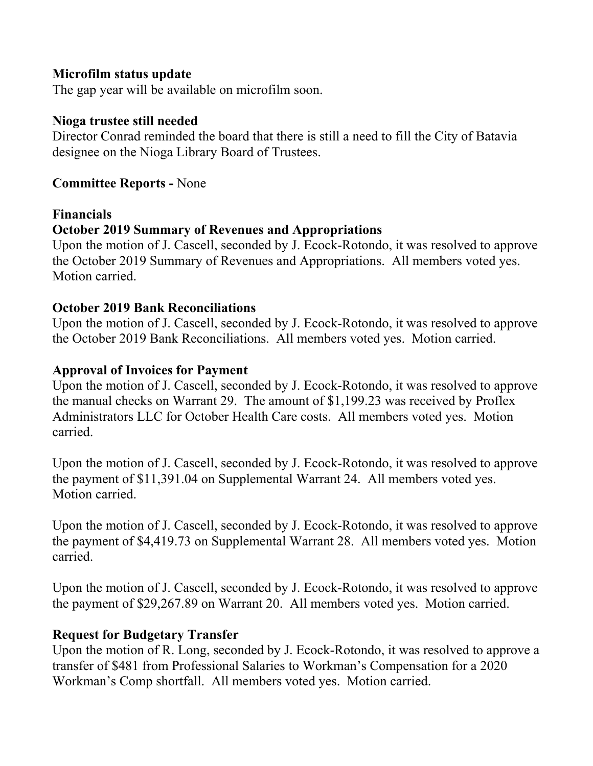#### **Microfilm status update**

The gap year will be available on microfilm soon.

#### **Nioga trustee still needed**

Director Conrad reminded the board that there is still a need to fill the City of Batavia designee on the Nioga Library Board of Trustees.

#### **Committee Reports -** None

#### **Financials**

#### **October 2019 Summary of Revenues and Appropriations**

Upon the motion of J. Cascell, seconded by J. Ecock-Rotondo, it was resolved to approve the October 2019 Summary of Revenues and Appropriations. All members voted yes. Motion carried.

#### **October 2019 Bank Reconciliations**

Upon the motion of J. Cascell, seconded by J. Ecock-Rotondo, it was resolved to approve the October 2019 Bank Reconciliations. All members voted yes. Motion carried.

#### **Approval of Invoices for Payment**

Upon the motion of J. Cascell, seconded by J. Ecock-Rotondo, it was resolved to approve the manual checks on Warrant 29. The amount of \$1,199.23 was received by Proflex Administrators LLC for October Health Care costs. All members voted yes. Motion carried.

Upon the motion of J. Cascell, seconded by J. Ecock-Rotondo, it was resolved to approve the payment of \$11,391.04 on Supplemental Warrant 24. All members voted yes. Motion carried.

Upon the motion of J. Cascell, seconded by J. Ecock-Rotondo, it was resolved to approve the payment of \$4,419.73 on Supplemental Warrant 28. All members voted yes. Motion carried.

Upon the motion of J. Cascell, seconded by J. Ecock-Rotondo, it was resolved to approve the payment of \$29,267.89 on Warrant 20. All members voted yes. Motion carried.

#### **Request for Budgetary Transfer**

Upon the motion of R. Long, seconded by J. Ecock-Rotondo, it was resolved to approve a transfer of \$481 from Professional Salaries to Workman's Compensation for a 2020 Workman's Comp shortfall. All members voted yes. Motion carried.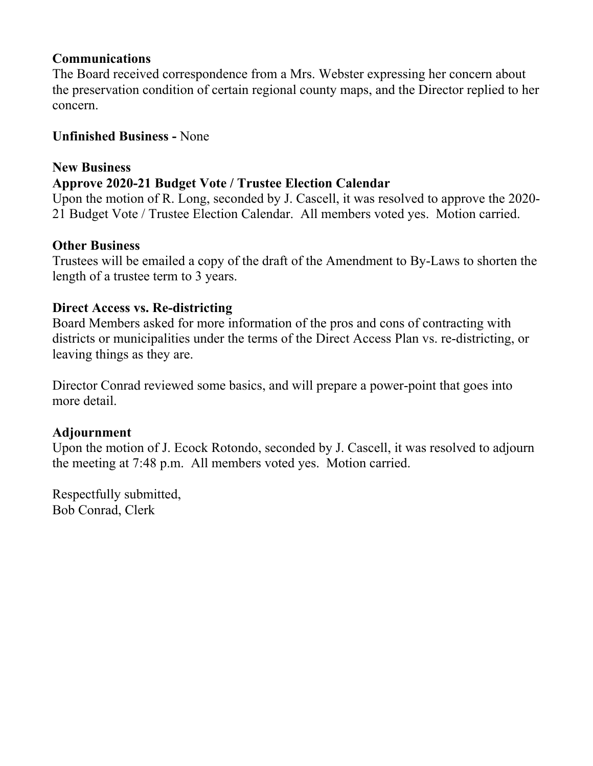#### **Communications**

The Board received correspondence from a Mrs. Webster expressing her concern about the preservation condition of certain regional county maps, and the Director replied to her concern.

# **Unfinished Business -** None

### **New Business**

# **Approve 2020-21 Budget Vote / Trustee Election Calendar**

Upon the motion of R. Long, seconded by J. Cascell, it was resolved to approve the 2020- 21 Budget Vote / Trustee Election Calendar. All members voted yes. Motion carried.

# **Other Business**

Trustees will be emailed a copy of the draft of the Amendment to By-Laws to shorten the length of a trustee term to 3 years.

# **Direct Access vs. Re-districting**

Board Members asked for more information of the pros and cons of contracting with districts or municipalities under the terms of the Direct Access Plan vs. re-districting, or leaving things as they are.

Director Conrad reviewed some basics, and will prepare a power-point that goes into more detail.

#### **Adjournment**

Upon the motion of J. Ecock Rotondo, seconded by J. Cascell, it was resolved to adjourn the meeting at 7:48 p.m. All members voted yes. Motion carried.

Respectfully submitted, Bob Conrad, Clerk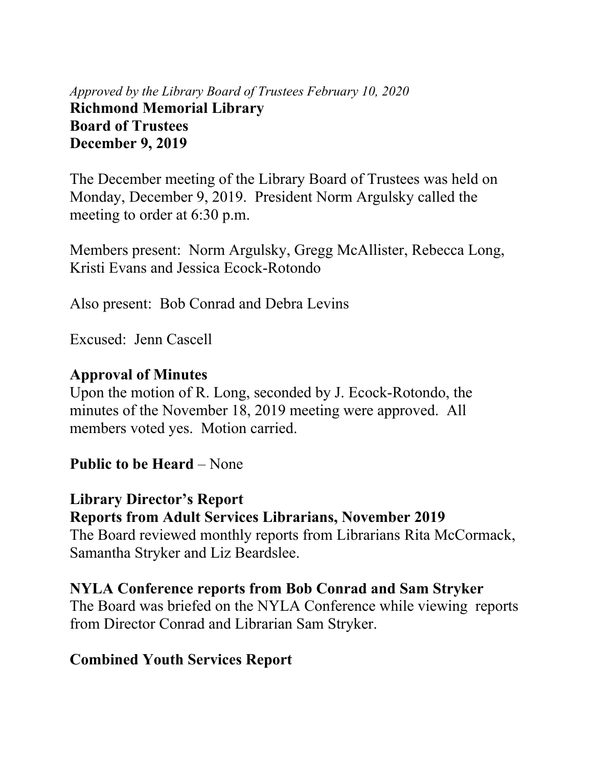# *Approved by the Library Board of Trustees February 10, 2020* **Richmond Memorial Library Board of Trustees December 9, 2019**

The December meeting of the Library Board of Trustees was held on Monday, December 9, 2019. President Norm Argulsky called the meeting to order at 6:30 p.m.

Members present: Norm Argulsky, Gregg McAllister, Rebecca Long, Kristi Evans and Jessica Ecock-Rotondo

Also present: Bob Conrad and Debra Levins

Excused: Jenn Cascell

# **Approval of Minutes**

Upon the motion of R. Long, seconded by J. Ecock-Rotondo, the minutes of the November 18, 2019 meeting were approved. All members voted yes. Motion carried.

# **Public to be Heard** – None

# **Library Director's Report**

**Reports from Adult Services Librarians, November 2019** 

The Board reviewed monthly reports from Librarians Rita McCormack, Samantha Stryker and Liz Beardslee.

# **NYLA Conference reports from Bob Conrad and Sam Stryker**

The Board was briefed on the NYLA Conference while viewing reports from Director Conrad and Librarian Sam Stryker.

# **Combined Youth Services Report**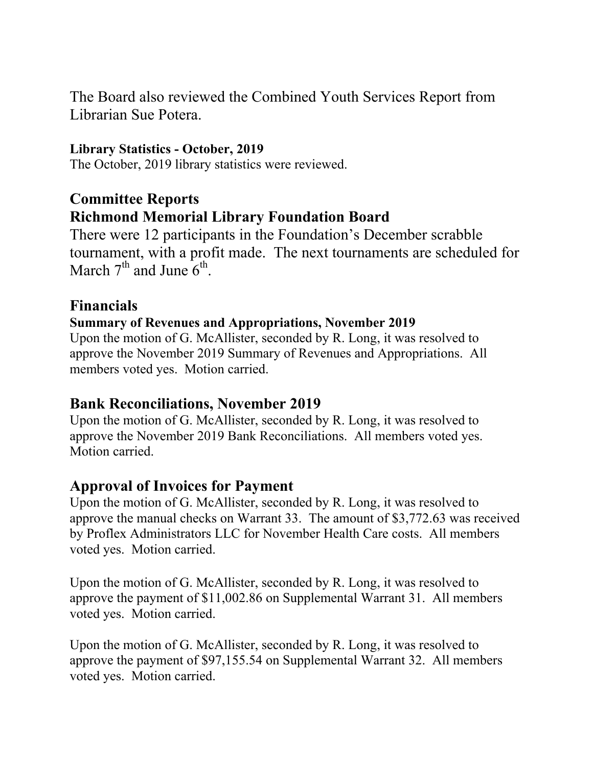The Board also reviewed the Combined Youth Services Report from Librarian Sue Potera.

# **Library Statistics - October, 2019**

The October, 2019 library statistics were reviewed.

# **Committee Reports Richmond Memorial Library Foundation Board**

There were 12 participants in the Foundation's December scrabble tournament, with a profit made. The next tournaments are scheduled for March  $7<sup>th</sup>$  and June  $6<sup>th</sup>$ .

# **Financials**

#### **Summary of Revenues and Appropriations, November 2019**

Upon the motion of G. McAllister, seconded by R. Long, it was resolved to approve the November 2019 Summary of Revenues and Appropriations. All members voted yes. Motion carried.

# **Bank Reconciliations, November 2019**

Upon the motion of G. McAllister, seconded by R. Long, it was resolved to approve the November 2019 Bank Reconciliations. All members voted yes. Motion carried.

# **Approval of Invoices for Payment**

Upon the motion of G. McAllister, seconded by R. Long, it was resolved to approve the manual checks on Warrant 33. The amount of \$3,772.63 was received by Proflex Administrators LLC for November Health Care costs. All members voted yes. Motion carried.

Upon the motion of G. McAllister, seconded by R. Long, it was resolved to approve the payment of \$11,002.86 on Supplemental Warrant 31. All members voted yes. Motion carried.

Upon the motion of G. McAllister, seconded by R. Long, it was resolved to approve the payment of \$97,155.54 on Supplemental Warrant 32. All members voted yes. Motion carried.